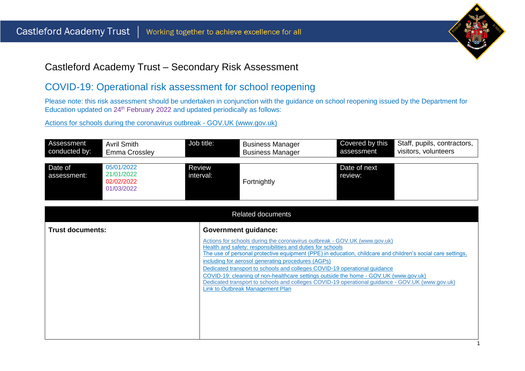

## Castleford Academy Trust – Secondary Risk Assessment

## COVID-19: Operational risk assessment for school reopening

Please note: this risk assessment should be undertaken in conjunction with the guidance on school reopening issued by the Department for Education updated on 24<sup>th</sup> February 2022 and updated periodically as follows:

[Actions for schools during the coronavirus outbreak -](https://www.gov.uk/government/publications/actions-for-schools-during-the-coronavirus-outbreak) GOV.UK (www.gov.uk)

| Assessment             | Avril Smith                                          | Job title:          | <b>Business Manager</b> | Covered by this         | Staff, pupils, contractors, |
|------------------------|------------------------------------------------------|---------------------|-------------------------|-------------------------|-----------------------------|
| conducted by:          | Emma Crossley                                        |                     | <b>Business Manager</b> | assessment              | visitors, volunteers        |
| Date of<br>assessment: | 05/01/2022<br>21/01/2022<br>02/02/2022<br>01/03/2022 | Review<br>interval: | Fortnightly             | Date of next<br>review: |                             |

|                  | <b>Related documents</b>                                                                                                                                                                                                                                                                                                                                                                                                                                                                                                                                                                                                        |
|------------------|---------------------------------------------------------------------------------------------------------------------------------------------------------------------------------------------------------------------------------------------------------------------------------------------------------------------------------------------------------------------------------------------------------------------------------------------------------------------------------------------------------------------------------------------------------------------------------------------------------------------------------|
| Trust documents: | <b>Government guidance:</b>                                                                                                                                                                                                                                                                                                                                                                                                                                                                                                                                                                                                     |
|                  | Actions for schools during the coronavirus outbreak - GOV.UK (www.gov.uk)<br>Health and safety: responsibilities and duties for schools<br>The use of personal protective equipment (PPE) in education, childcare and children's social care settings,<br>including for aerosol generating procedures (AGPs)<br>Dedicated transport to schools and colleges COVID-19 operational guidance<br>COVID-19: cleaning of non-healthcare settings outside the home - GOV.UK (www.gov.uk)<br>Dedicated transport to schools and colleges COVID-19 operational guidance - GOV.UK (www.gov.uk)<br><b>Link to Outbreak Management Plan</b> |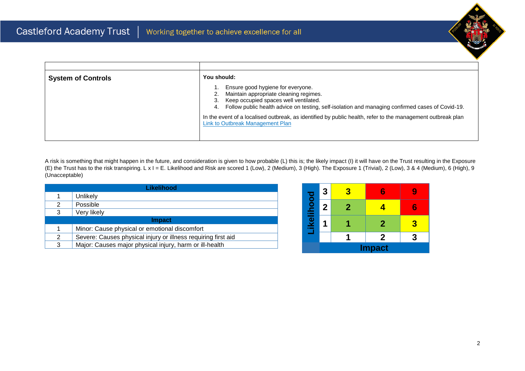

| <b>System of Controls</b> | You should:                                                                                                                                                                                                                          |
|---------------------------|--------------------------------------------------------------------------------------------------------------------------------------------------------------------------------------------------------------------------------------|
|                           | Ensure good hygiene for everyone.<br>Maintain appropriate cleaning regimes.<br>Keep occupied spaces well ventilated.<br>3.<br>Follow public health advice on testing, self-isolation and managing confirmed cases of Covid-19.<br>4. |
|                           | In the event of a localised outbreak, as identified by public health, refer to the management outbreak plan<br>Link to Outbreak Management Plan                                                                                      |

A risk is something that might happen in the future, and consideration is given to how probable (L) this is; the likely impact (I) it will have on the Trust resulting in the Exposure (E) the Trust has to the risk transpiring. L x I = E. Likelihood and Risk are scored 1 (Low), 2 (Medium), 3 (High). The Exposure 1 (Trivial), 2 (Low), 3 & 4 (Medium), 6 (High), 9 (Unacceptable)

|   | Likelihood                                                    |  |  |  |  |  |  |  |  |  |
|---|---------------------------------------------------------------|--|--|--|--|--|--|--|--|--|
| 1 | <b>Unlikely</b>                                               |  |  |  |  |  |  |  |  |  |
| 2 | Possible                                                      |  |  |  |  |  |  |  |  |  |
| 3 | Very likely                                                   |  |  |  |  |  |  |  |  |  |
|   | <b>Impact</b>                                                 |  |  |  |  |  |  |  |  |  |
| 1 | Minor: Cause physical or emotional discomfort                 |  |  |  |  |  |  |  |  |  |
| 2 | Severe: Causes physical injury or illness requiring first aid |  |  |  |  |  |  |  |  |  |
| 3 | Major: Causes major physical injury, harm or ill-health       |  |  |  |  |  |  |  |  |  |

|           | 3           | 8 |               |   |
|-----------|-------------|---|---------------|---|
| ikelihood | $\mathbf 2$ | 2 |               | 6 |
|           |             |   | $\mathbf 2$   | 3 |
|           |             |   | 2             |   |
|           |             |   | <b>Impact</b> |   |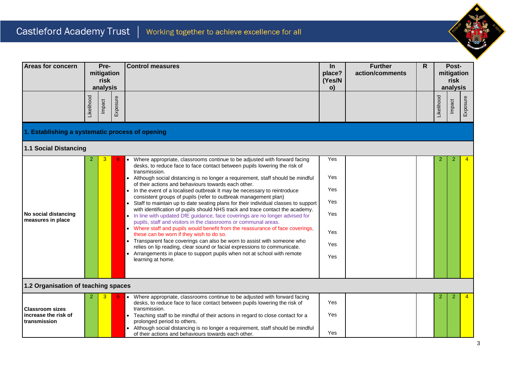

| Areas for concern                                              | Pre-<br>mitigation<br>risk<br>analysis |        |          | <b>Control measures</b>                                                                                                                                                                                                                                                                                                                                                                                                                                                                                                                                                                                                                                                                                                                                                                                                                                                                                                                                                                                                                                                                                                                                                                |                                                      |  | $\ln$<br>place?<br>(Yes/N<br>o) | <b>Further</b><br>action/comments | R      |                | Post-<br>mitigation<br>risk<br>analysis |  |
|----------------------------------------------------------------|----------------------------------------|--------|----------|----------------------------------------------------------------------------------------------------------------------------------------------------------------------------------------------------------------------------------------------------------------------------------------------------------------------------------------------------------------------------------------------------------------------------------------------------------------------------------------------------------------------------------------------------------------------------------------------------------------------------------------------------------------------------------------------------------------------------------------------------------------------------------------------------------------------------------------------------------------------------------------------------------------------------------------------------------------------------------------------------------------------------------------------------------------------------------------------------------------------------------------------------------------------------------------|------------------------------------------------------|--|---------------------------------|-----------------------------------|--------|----------------|-----------------------------------------|--|
|                                                                | Likelihood                             | Impact | Exposure |                                                                                                                                                                                                                                                                                                                                                                                                                                                                                                                                                                                                                                                                                                                                                                                                                                                                                                                                                                                                                                                                                                                                                                                        |                                                      |  |                                 | Likelihood                        | Impact | Exposure       |                                         |  |
| 1. Establishing a systematic process of opening                |                                        |        |          |                                                                                                                                                                                                                                                                                                                                                                                                                                                                                                                                                                                                                                                                                                                                                                                                                                                                                                                                                                                                                                                                                                                                                                                        |                                                      |  |                                 |                                   |        |                |                                         |  |
| <b>1.1 Social Distancing</b>                                   |                                        |        |          |                                                                                                                                                                                                                                                                                                                                                                                                                                                                                                                                                                                                                                                                                                                                                                                                                                                                                                                                                                                                                                                                                                                                                                                        |                                                      |  |                                 |                                   |        |                |                                         |  |
| No social distancing<br>measures in place                      | 2                                      | 3      |          | • Where appropriate, classrooms continue to be adjusted with forward facing<br>desks, to reduce face to face contact between pupils lowering the risk of<br>transmission.<br>• Although social distancing is no longer a requirement, staff should be mindful<br>of their actions and behaviours towards each other.<br>• In the event of a localised outbreak It may be necessary to reintroduce<br>consistent groups of pupils (refer to outbreak management plan)<br>Staff to maintain up to date seating plans for their individual classes to support<br>with identification of pupils should NHS track and trace contact the academy.<br>• In line with updated DfE guidance, face coverings are no longer advised for<br>pupils, staff and visitors in the classrooms or communal areas.<br>• Where staff and pupils would benefit from the reassurance of face coverings,<br>these can be worn if they wish to do so.<br>• Transparent face coverings can also be worn to assist with someone who<br>relies on lip reading, clear sound or facial expressions to communicate.<br>• Arrangements in place to support pupils when not at school with remote<br>learning at home. | Yes<br>Yes<br>Yes<br>Yes<br>Yes<br>Yes<br>Yes<br>Yes |  |                                 | 2                                 | 2      |                |                                         |  |
| 1.2 Organisation of teaching spaces                            |                                        |        |          |                                                                                                                                                                                                                                                                                                                                                                                                                                                                                                                                                                                                                                                                                                                                                                                                                                                                                                                                                                                                                                                                                                                                                                                        |                                                      |  |                                 |                                   |        |                |                                         |  |
| <b>Classroom sizes</b><br>increase the risk of<br>transmission |                                        |        |          | Where appropriate, classrooms continue to be adjusted with forward facing<br>desks, to reduce face to face contact between pupils lowering the risk of<br>transmission.<br>Teaching staff to be mindful of their actions in regard to close contact for a<br>$\bullet$<br>prolonged period to others.<br>Although social distancing is no longer a requirement, staff should be mindful<br>of their actions and behaviours towards each other.                                                                                                                                                                                                                                                                                                                                                                                                                                                                                                                                                                                                                                                                                                                                         | Yes<br>Yes<br>Yes                                    |  |                                 | 2                                 | 2      | $\overline{4}$ |                                         |  |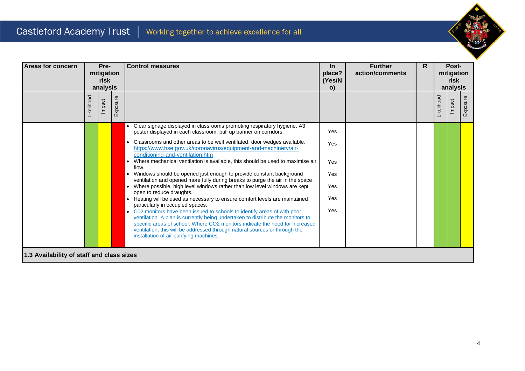

| <b>Areas for concern</b>                  | Pre-<br>mitigation<br>risk<br>analysis |        |          | <b>Control measures</b>                                                                                                                                                                                                                                                                  | $\ln$<br>place?<br>(Yes/N<br>$\mathbf{o}$ | <b>Further</b><br>action/comments | R. |            | Post-<br>mitigation<br>risk<br>analysis |          |
|-------------------------------------------|----------------------------------------|--------|----------|------------------------------------------------------------------------------------------------------------------------------------------------------------------------------------------------------------------------------------------------------------------------------------------|-------------------------------------------|-----------------------------------|----|------------|-----------------------------------------|----------|
|                                           | <b>ikelihood</b>                       | Impact | Exposure |                                                                                                                                                                                                                                                                                          |                                           |                                   |    | _ikelihood | Impact                                  | Exposure |
|                                           |                                        |        |          | Clear signage displayed in classrooms promoting respiratory hygiene. A3<br>poster displayed in each classroom, pull up banner on corridors.<br>Classrooms and other areas to be well ventilated, door wedges available.                                                                  | Yes                                       |                                   |    |            |                                         |          |
|                                           |                                        |        |          | https://www.hse.gov.uk/coronavirus/equipment-and-machinery/air-<br>conditioning-and-ventilation.htm                                                                                                                                                                                      | Yes                                       |                                   |    |            |                                         |          |
|                                           |                                        |        |          | Where mechanical ventilation is available, this should be used to maximise air<br>flow.<br>Windows should be opened just enough to provide constant background<br>ventilation and opened more fully during breaks to purge the air in the space.                                         | Yes<br>Yes                                |                                   |    |            |                                         |          |
|                                           |                                        |        |          | Where possible, high level windows rather than low level windows are kept<br>open to reduce draughts.                                                                                                                                                                                    | Yes                                       |                                   |    |            |                                         |          |
|                                           |                                        |        |          | Heating will be used as necessary to ensure comfort levels are maintained<br>particularly in occupied spaces.<br>• C02 monitors have been issued to schools to identify areas of with poor                                                                                               | Yes<br>Yes                                |                                   |    |            |                                         |          |
|                                           |                                        |        |          | ventilation. A plan is currently being undertaken to distribute the monitors to<br>specific areas of school. Where CO2 monitors indicate the need for increased<br>ventilation, this will be addressed through natural sources or through the<br>installation of air purifying machines. |                                           |                                   |    |            |                                         |          |
| 1.3 Availability of staff and class sizes |                                        |        |          |                                                                                                                                                                                                                                                                                          |                                           |                                   |    |            |                                         |          |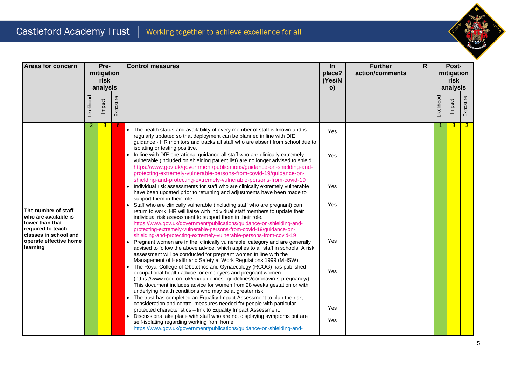

| <b>Areas for concern</b>                                                                                                                           |            | Pre-               |          | <b>Control measures</b>                                                                                                                                                                                                                                                                                                                                                                                                                                                        | In               | <b>Further</b>  | R |            | Post-              |                |
|----------------------------------------------------------------------------------------------------------------------------------------------------|------------|--------------------|----------|--------------------------------------------------------------------------------------------------------------------------------------------------------------------------------------------------------------------------------------------------------------------------------------------------------------------------------------------------------------------------------------------------------------------------------------------------------------------------------|------------------|-----------------|---|------------|--------------------|----------------|
|                                                                                                                                                    |            | mitigation<br>risk |          |                                                                                                                                                                                                                                                                                                                                                                                                                                                                                | place?<br>(Yes/N | action/comments |   |            | mitigation<br>risk |                |
|                                                                                                                                                    |            | analysis           |          |                                                                                                                                                                                                                                                                                                                                                                                                                                                                                | o)               |                 |   |            | analysis           |                |
|                                                                                                                                                    | Likelihood | Impact             | Exposure |                                                                                                                                                                                                                                                                                                                                                                                                                                                                                |                  |                 |   | Likelihood | Impact             | Exposure       |
| The number of staff<br>who are available is<br>lower than that<br>required to teach<br>classes in school and<br>operate effective home<br>learning | 2          | 3                  |          | The health status and availability of every member of staff is known and is<br>regularly updated so that deployment can be planned in line with DfE<br>guidance - HR monitors and tracks all staff who are absent from school due to<br>isolating or testing positive.<br>In line with DfE operational guidance all staff who are clinically extremely                                                                                                                         | Yes<br>Yes       |                 |   |            | $\overline{3}$     | $\overline{3}$ |
|                                                                                                                                                    |            |                    |          | vulnerable (included on shielding patient list) are no longer advised to shield.<br>https://www.gov.uk/government/publications/guidance-on-shielding-and-<br>protecting-extremely-vulnerable-persons-from-covid-19/guidance-on-<br>shielding-and-protecting-extremely-vulnerable-persons-from-covid-19<br>Individual risk assessments for staff who are clinically extremely vulnerable<br>$\bullet$<br>have been updated prior to returning and adjustments have been made to | Yes              |                 |   |            |                    |                |
|                                                                                                                                                    |            |                    |          | support them in their role.<br>Staff who are clinically vulnerable (including staff who are pregnant) can<br>return to work. HR will liaise with individual staff members to update their<br>individual risk assessment to support them in their role.<br>https://www.gov.uk/government/publications/guidance-on-shielding-and-<br>protecting-extremely-vulnerable-persons-from-covid-19/guidance-on-<br>shielding-and-protecting-extremely-vulnerable-persons-from-covid-19   | Yes              |                 |   |            |                    |                |
|                                                                                                                                                    |            |                    |          | Pregnant women are in the 'clinically vulnerable' category and are generally<br>advised to follow the above advice, which applies to all staff in schools. A risk<br>assessment will be conducted for pregnant women in line with the<br>Management of Health and Safety at Work Regulations 1999 (MHSW).<br>The Royal College of Obstetrics and Gynaecology (RCOG) has published                                                                                              | Yes              |                 |   |            |                    |                |
|                                                                                                                                                    |            |                    |          | occupational health advice for employers and pregnant women<br>(https://www.rcog.org.uk/en/guidelines-guidelines/coronavirus-pregnancy/).<br>This document includes advice for women from 28 weeks gestation or with<br>underlying health conditions who may be at greater risk.<br>The trust has completed an Equality Impact Assessment to plan the risk,                                                                                                                    | Yes              |                 |   |            |                    |                |
|                                                                                                                                                    |            |                    |          | consideration and control measures needed for people with particular<br>protected characteristics - link to Equality Impact Assessment.<br>Discussions take place with staff who are not displaying symptoms but are                                                                                                                                                                                                                                                           | Yes              |                 |   |            |                    |                |
|                                                                                                                                                    |            |                    |          | self-isolating regarding working from home.<br>https://www.gov.uk/government/publications/guidance-on-shielding-and-                                                                                                                                                                                                                                                                                                                                                           | Yes              |                 |   |            |                    |                |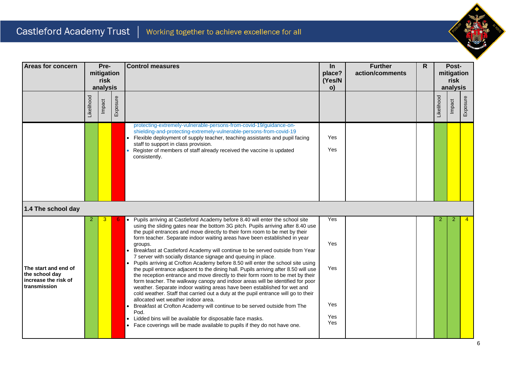

| <b>Areas for concern</b>                                                       | Pre-<br>mitigation<br>risk<br>analysis |                    |  | <b>Control measures</b>                                                                                                                                                                                                                                                                                                                                                                                                                                                                                                                                                                                                                                                                                                                                                                                                                                                                                                                                                                                                                                                                                                                                                                                                                                                                                          |                                        |  |  | In<br>place?<br>(Yes/N<br>o) | <b>Further</b><br>action/comments | $\mathsf{R}$ | Post-<br>mitigation<br>risk<br>analysis |  |  |
|--------------------------------------------------------------------------------|----------------------------------------|--------------------|--|------------------------------------------------------------------------------------------------------------------------------------------------------------------------------------------------------------------------------------------------------------------------------------------------------------------------------------------------------------------------------------------------------------------------------------------------------------------------------------------------------------------------------------------------------------------------------------------------------------------------------------------------------------------------------------------------------------------------------------------------------------------------------------------------------------------------------------------------------------------------------------------------------------------------------------------------------------------------------------------------------------------------------------------------------------------------------------------------------------------------------------------------------------------------------------------------------------------------------------------------------------------------------------------------------------------|----------------------------------------|--|--|------------------------------|-----------------------------------|--------------|-----------------------------------------|--|--|
|                                                                                | Likelihood                             | Exposure<br>Impact |  |                                                                                                                                                                                                                                                                                                                                                                                                                                                                                                                                                                                                                                                                                                                                                                                                                                                                                                                                                                                                                                                                                                                                                                                                                                                                                                                  |                                        |  |  | Likelihood                   | Impact                            | Exposure     |                                         |  |  |
|                                                                                |                                        |                    |  | protecting-extremely-vulnerable-persons-from-covid-19/guidance-on-<br>shielding-and-protecting-extremely-vulnerable-persons-from-covid-19<br>Flexible deployment of supply teacher, teaching assistants and pupil facing<br>$\bullet$<br>staff to support in class provision.<br>Register of members of staff already received the vaccine is updated<br>consistently.                                                                                                                                                                                                                                                                                                                                                                                                                                                                                                                                                                                                                                                                                                                                                                                                                                                                                                                                           | Yes<br>Yes                             |  |  |                              |                                   |              |                                         |  |  |
| 1.4 The school day                                                             |                                        |                    |  |                                                                                                                                                                                                                                                                                                                                                                                                                                                                                                                                                                                                                                                                                                                                                                                                                                                                                                                                                                                                                                                                                                                                                                                                                                                                                                                  |                                        |  |  |                              |                                   |              |                                         |  |  |
| The start and end of<br>the school day<br>increase the risk of<br>transmission | 2                                      | 3                  |  | Pupils arriving at Castleford Academy before 8.40 will enter the school site<br>using the sliding gates near the bottom 3G pitch. Pupils arriving after 8.40 use<br>the pupil entrances and move directly to their form room to be met by their<br>form teacher. Separate indoor waiting areas have been established in year<br>groups.<br>Breakfast at Castleford Academy will continue to be served outside from Year<br>$\bullet$<br>7 server with socially distance signage and queuing in place.<br>Pupils arriving at Crofton Academy before 8.50 will enter the school site using<br>the pupil entrance adjacent to the dining hall. Pupils arriving after 8.50 will use<br>the reception entrance and move directly to their form room to be met by their<br>form teacher. The walkway canopy and indoor areas will be identified for poor<br>weather. Separate indoor waiting areas have been established for wet and<br>cold weather. Staff that carried out a duty at the pupil entrance will go to their<br>allocated wet weather indoor area.<br>Breakfast at Crofton Academy will continue to be served outside from The<br>$\bullet$<br>Pod.<br>Lidded bins will be available for disposable face masks.<br>$\bullet$<br>Face coverings will be made available to pupils if they do not have one. | Yes<br>Yes<br>Yes<br>Yes<br>Yes<br>Yes |  |  | 2                            | 2                                 |              |                                         |  |  |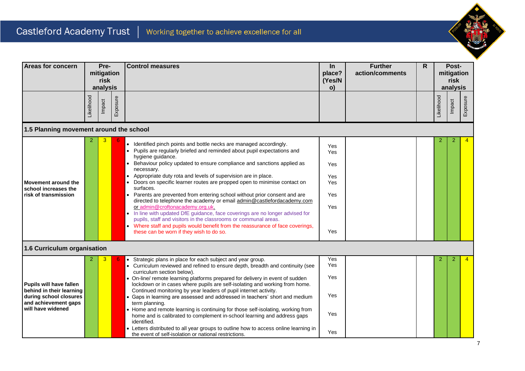

| Areas for concern                                                                                     | Pre-<br>mitigation<br>risk<br>analysis |        |          | <b>Control measures</b>                                                                                                                                                                                                                                                                                                                                                                                                                                                                                                                                                                                                                                                                                                                                                                                                                                                                               |                                                      | $\ln$<br>place?<br>(Yes/N<br>o) | <b>Further</b><br>action/comments | R.         |        | Post-<br>mitigation<br>risk<br>analysis |  |  |  |
|-------------------------------------------------------------------------------------------------------|----------------------------------------|--------|----------|-------------------------------------------------------------------------------------------------------------------------------------------------------------------------------------------------------------------------------------------------------------------------------------------------------------------------------------------------------------------------------------------------------------------------------------------------------------------------------------------------------------------------------------------------------------------------------------------------------------------------------------------------------------------------------------------------------------------------------------------------------------------------------------------------------------------------------------------------------------------------------------------------------|------------------------------------------------------|---------------------------------|-----------------------------------|------------|--------|-----------------------------------------|--|--|--|
|                                                                                                       | Likelihood                             | Impact | Exposure |                                                                                                                                                                                                                                                                                                                                                                                                                                                                                                                                                                                                                                                                                                                                                                                                                                                                                                       |                                                      |                                 |                                   | Likelihood | Impact | Exposure                                |  |  |  |
| 1.5 Planning movement around the school                                                               |                                        |        |          |                                                                                                                                                                                                                                                                                                                                                                                                                                                                                                                                                                                                                                                                                                                                                                                                                                                                                                       |                                                      |                                 |                                   |            |        |                                         |  |  |  |
| Movement around the<br>school increases the<br>risk of transmission                                   |                                        |        |          | • Identified pinch points and bottle necks are managed accordingly.<br>• Pupils are regularly briefed and reminded about pupil expectations and<br>hygiene guidance.<br>• Behaviour policy updated to ensure compliance and sanctions applied as<br>necessary.<br>• Appropriate duty rota and levels of supervision are in place.<br>Doors on specific learner routes are propped open to minimise contact on<br>surfaces.<br>• Parents are prevented from entering school without prior consent and are<br>directed to telephone the academy or email admin@castlefordacademy.com<br>or admin@croftonacademy.org.uk.<br>• In line with updated DfE guidance, face coverings are no longer advised for<br>pupils, staff and visitors in the classrooms or communal areas.<br>Where staff and pupils would benefit from the reassurance of face coverings,<br>these can be worn if they wish to do so. | Yes<br>Yes<br>Yes<br>Yes<br>Yes<br>Yes<br>Yes<br>Yes |                                 |                                   |            | 2      |                                         |  |  |  |
| 1.6 Curriculum organisation                                                                           |                                        |        |          |                                                                                                                                                                                                                                                                                                                                                                                                                                                                                                                                                                                                                                                                                                                                                                                                                                                                                                       |                                                      |                                 |                                   |            |        |                                         |  |  |  |
| Pupils will have fallen<br>behind in their learning<br>during school closures<br>and achievement gaps |                                        |        |          | • Strategic plans in place for each subject and year group.<br>• Curriculum reviewed and refined to ensure depth, breadth and continuity (see<br>curriculum section below).<br>• On-line/ remote learning platforms prepared for delivery in event of sudden<br>lockdown or in cases where pupils are self-isolating and working from home.<br>Continued monitoring by year leaders of pupil internet activity.<br>• Gaps in learning are assessed and addressed in teachers' short and medium<br>term planning.                                                                                                                                                                                                                                                                                                                                                                                      | Yes<br><b>Yes</b><br>Yes<br>Yes                      |                                 |                                   |            | 2      | 4                                       |  |  |  |
| will have widened                                                                                     |                                        |        |          | • Home and remote learning is continuing for those self-isolating, working from<br>home and is calibrated to complement in-school learning and address gaps<br>identified.<br>• Letters distributed to all year groups to outline how to access online learning in<br>the event of self-isolation or national restrictions.                                                                                                                                                                                                                                                                                                                                                                                                                                                                                                                                                                           | Yes<br>Yes                                           |                                 |                                   |            |        |                                         |  |  |  |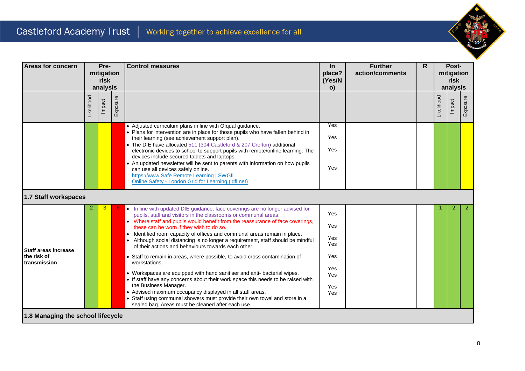

| <b>Areas for concern</b>          | Pre-<br>mitigation<br>risk<br>analysis |        |                                                                                                                                                                                                                                                                          | <b>Control measures</b>                                                                                                                                                                                                       |            |  |  | $\ln$<br>place?<br>(Yes/N<br>o) | <b>Further</b><br>action/comments | R              |  | Post-<br>mitigation<br>risk<br>analysis |  |
|-----------------------------------|----------------------------------------|--------|--------------------------------------------------------------------------------------------------------------------------------------------------------------------------------------------------------------------------------------------------------------------------|-------------------------------------------------------------------------------------------------------------------------------------------------------------------------------------------------------------------------------|------------|--|--|---------------------------------|-----------------------------------|----------------|--|-----------------------------------------|--|
|                                   | Likelihood                             | Impact | Exposure                                                                                                                                                                                                                                                                 |                                                                                                                                                                                                                               |            |  |  | Likelihood                      | Impact                            | Exposure       |  |                                         |  |
|                                   |                                        |        |                                                                                                                                                                                                                                                                          | • Adjusted curriculum plans in line with Ofqual guidance.<br>• Plans for intervention are in place for those pupils who have fallen behind in                                                                                 | Yes        |  |  |                                 |                                   |                |  |                                         |  |
|                                   |                                        |        |                                                                                                                                                                                                                                                                          | their learning (see achievement support plan).                                                                                                                                                                                | Yes        |  |  |                                 |                                   |                |  |                                         |  |
|                                   |                                        |        |                                                                                                                                                                                                                                                                          | • The DfE have allocated 511 (304 Castleford & 207 Crofton) additional<br>electronic devices to school to support pupils with remote/online learning. The                                                                     | Yes        |  |  |                                 |                                   |                |  |                                         |  |
|                                   |                                        |        | devices include secured tablets and laptops.<br>• An updated newsletter will be sent to parents with information on how pupils<br>can use all devices safely online.<br>https://www.Safe Remote Learning   SWGfL,<br>Online Safety - London Grid for Learning (Igfl.net) | Yes                                                                                                                                                                                                                           |            |  |  |                                 |                                   |                |  |                                         |  |
| 1.7 Staff workspaces              |                                        |        |                                                                                                                                                                                                                                                                          |                                                                                                                                                                                                                               |            |  |  |                                 |                                   |                |  |                                         |  |
|                                   | 2                                      | 3      |                                                                                                                                                                                                                                                                          | • In line with updated DfE guidance, face coverings are no longer advised for<br>pupils, staff and visitors in the classrooms or communal areas.                                                                              | Yes        |  |  |                                 | $\overline{2}$                    | 2 <sup>1</sup> |  |                                         |  |
|                                   |                                        |        |                                                                                                                                                                                                                                                                          | • Where staff and pupils would benefit from the reassurance of face coverings,<br>these can be worn if they wish to do so.                                                                                                    | Yes        |  |  |                                 |                                   |                |  |                                         |  |
| <b>Staff areas increase</b>       |                                        |        |                                                                                                                                                                                                                                                                          | Identified room capacity of offices and communal areas remain in place.<br>$\bullet$<br>Although social distancing is no longer a requirement, staff should be mindful<br>of their actions and behaviours towards each other. | Yes<br>Yes |  |  |                                 |                                   |                |  |                                         |  |
| the risk of<br>transmission       |                                        |        |                                                                                                                                                                                                                                                                          | • Staff to remain in areas, where possible, to avoid cross contamination of<br>workstations.                                                                                                                                  | Yes        |  |  |                                 |                                   |                |  |                                         |  |
|                                   |                                        |        |                                                                                                                                                                                                                                                                          | • Workspaces are equipped with hand sanitiser and anti- bacterial wipes.<br>• If staff have any concerns about their work space this needs to be raised with                                                                  | Yes<br>Yes |  |  |                                 |                                   |                |  |                                         |  |
|                                   |                                        |        |                                                                                                                                                                                                                                                                          | the Business Manager.<br>• Advised maximum occupancy displayed in all staff areas.                                                                                                                                            | Yes<br>Yes |  |  |                                 |                                   |                |  |                                         |  |
|                                   |                                        |        |                                                                                                                                                                                                                                                                          | • Staff using communal showers must provide their own towel and store in a<br>sealed bag. Areas must be cleaned after each use.                                                                                               |            |  |  |                                 |                                   |                |  |                                         |  |
| 1.8 Managing the school lifecycle |                                        |        |                                                                                                                                                                                                                                                                          |                                                                                                                                                                                                                               |            |  |  |                                 |                                   |                |  |                                         |  |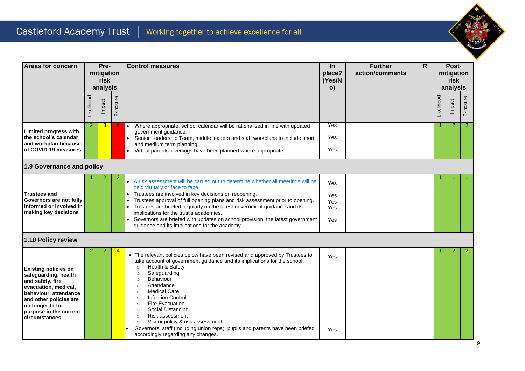

| <b>Areas for concern</b>                                                                                                                                                                                           | Pre-<br>mitigation<br>risk<br>analysis |        |          | <b>Control measures</b>                                                                                                                                                                                                                                                                                                                                                                                                                                                                                                                                                                                             |                                 | <b>Further</b><br>action/comments | R. |            | Post-<br>mitigation<br>risk<br>analysis |                |
|--------------------------------------------------------------------------------------------------------------------------------------------------------------------------------------------------------------------|----------------------------------------|--------|----------|---------------------------------------------------------------------------------------------------------------------------------------------------------------------------------------------------------------------------------------------------------------------------------------------------------------------------------------------------------------------------------------------------------------------------------------------------------------------------------------------------------------------------------------------------------------------------------------------------------------------|---------------------------------|-----------------------------------|----|------------|-----------------------------------------|----------------|
|                                                                                                                                                                                                                    | Likelihood                             | Impact | Exposure |                                                                                                                                                                                                                                                                                                                                                                                                                                                                                                                                                                                                                     |                                 |                                   |    | Likelihood | Impact                                  | Exposure       |
| <b>Limited progress with</b><br>the school's calendar<br>and workplan because<br>of COVID-19 measures                                                                                                              | 2                                      | 3      | 6.       | Where appropriate, school calendar will be rationalised in line with updated<br>$\bullet$<br>government guidance.<br>Senior Leadership Team, middle leaders and staff workplans to include short<br>and medium term planning.<br>Virtual parents' evenings have been planned where appropriate.<br>$\bullet$                                                                                                                                                                                                                                                                                                        | Yes<br>Yes<br>Yes               |                                   |    |            | $\overline{2}$                          | $\overline{2}$ |
| 1.9 Governance and policy                                                                                                                                                                                          |                                        |        |          |                                                                                                                                                                                                                                                                                                                                                                                                                                                                                                                                                                                                                     |                                 |                                   |    |            |                                         |                |
| <b>Trustees and</b><br>Governors are not fully<br>informed or involved in<br>making key decisions                                                                                                                  |                                        |        | 2        | • A risk assessment will be carried out to determine whether all meetings will be<br>held virtually or face to face.<br>Trustees are involved in key decisions on reopening.<br>Trustees approval of full opening plans and risk assessment prior to opening.<br>Trustees are briefed regularly on the latest government guidance and its<br>implications for the trust's academies.<br>Governors are briefed with updates on school provision, the latest government<br>guidance and its implications for the academy.                                                                                             | Yes<br>Yes<br>Yes<br>Yes<br>Yes |                                   |    |            |                                         |                |
| 1.10 Policy review                                                                                                                                                                                                 |                                        |        |          |                                                                                                                                                                                                                                                                                                                                                                                                                                                                                                                                                                                                                     |                                 |                                   |    |            |                                         |                |
| <b>Existing policies on</b><br>safeguarding, health<br>and safety, fire<br>evacuation, medical,<br>behaviour, attendance<br>and other policies are<br>no longer fit for<br>purpose in the current<br>circumstances | 2                                      | 2      |          | • The relevant policies below have been revised and approved by Trustees to<br>take account of government guidance and its implications for the school:<br>Health & Safety<br>$\circ$<br>Safeguarding<br>$\circ$<br>Behaviour<br>$\circ$<br>Attendance<br>$\circ$<br><b>Medical Care</b><br>$\circ$<br><b>Infection Control</b><br>$\circ$<br><b>Fire Evacuation</b><br>$\circ$<br>Social Distancing<br>$\circ$<br>Risk assessment<br>$\circ$<br>Visitor policy & risk assessment<br>$\circ$<br>Governors, staff (including union reps), pupils and parents have been briefed<br>accordingly regarding any changes. | Yes<br><b>Yes</b>               |                                   |    |            |                                         | $\overline{2}$ |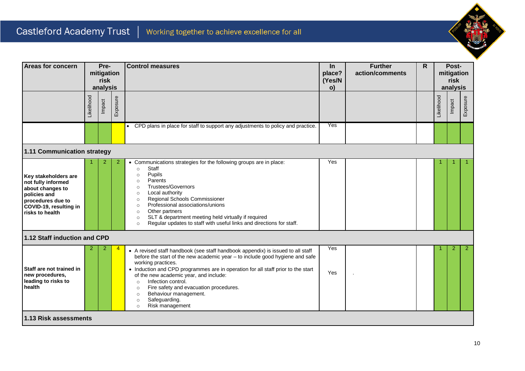

| <b>Areas for concern</b>                                                                                                                         |            | Pre-<br>mitigation<br>risk<br>analysis |                | <b>Control measures</b>                                                                                                                                                                                                                                                                                                                                                                                                                                                                                 | <b>Further</b><br>$\ln$<br>place?<br>action/comments<br>(Yes/N<br>o) |  | $\mathsf{R}$ |            | Post-<br>mitigation<br>risk<br>analysis |              |
|--------------------------------------------------------------------------------------------------------------------------------------------------|------------|----------------------------------------|----------------|---------------------------------------------------------------------------------------------------------------------------------------------------------------------------------------------------------------------------------------------------------------------------------------------------------------------------------------------------------------------------------------------------------------------------------------------------------------------------------------------------------|----------------------------------------------------------------------|--|--------------|------------|-----------------------------------------|--------------|
|                                                                                                                                                  | Likelihood | Impact                                 | Exposure       |                                                                                                                                                                                                                                                                                                                                                                                                                                                                                                         |                                                                      |  |              | Likelihood | Impact                                  | Exposure     |
|                                                                                                                                                  |            |                                        |                | • CPD plans in place for staff to support any adjustments to policy and practice.                                                                                                                                                                                                                                                                                                                                                                                                                       | Yes                                                                  |  |              |            |                                         |              |
| 1.11 Communication strategy                                                                                                                      |            |                                        |                |                                                                                                                                                                                                                                                                                                                                                                                                                                                                                                         |                                                                      |  |              |            |                                         |              |
| Key stakeholders are<br>not fully informed<br>about changes to<br>policies and<br>procedures due to<br>COVID-19, resulting in<br>risks to health |            | 2                                      | $\overline{2}$ | • Communications strategies for the following groups are in place:<br>Staff<br>$\circ$<br>Pupils<br>$\circ$<br>Parents<br>$\circ$<br><b>Trustees/Governors</b><br>$\circ$<br>Local authority<br>$\circ$<br>Regional Schools Commissioner<br>$\circ$<br>Professional associations/unions<br>$\circ$<br>Other partners<br>$\circ$<br>SLT & department meeting held virtually if required<br>$\circ$<br>Regular updates to staff with useful links and directions for staff.<br>$\circ$                    | Yes                                                                  |  |              |            |                                         |              |
| 1.12 Staff induction and CPD                                                                                                                     |            |                                        |                |                                                                                                                                                                                                                                                                                                                                                                                                                                                                                                         |                                                                      |  |              |            |                                         |              |
| Staff are not trained in<br>new procedures,<br>leading to risks to<br>health                                                                     | 2          | 2                                      | 4              | • A revised staff handbook (see staff handbook appendix) is issued to all staff<br>before the start of the new academic year - to include good hygiene and safe<br>working practices.<br>• Induction and CPD programmes are in operation for all staff prior to the start<br>of the new academic year, and include:<br>Infection control.<br>$\circ$<br>Fire safety and evacuation procedures.<br>$\circ$<br>Behaviour management.<br>$\circ$<br>Safeguarding.<br>$\circ$<br>Risk management<br>$\circ$ | Yes<br>Yes                                                           |  |              |            | 2                                       | $\mathbf{2}$ |
| 1.13 Risk assessments                                                                                                                            |            |                                        |                |                                                                                                                                                                                                                                                                                                                                                                                                                                                                                                         |                                                                      |  |              |            |                                         |              |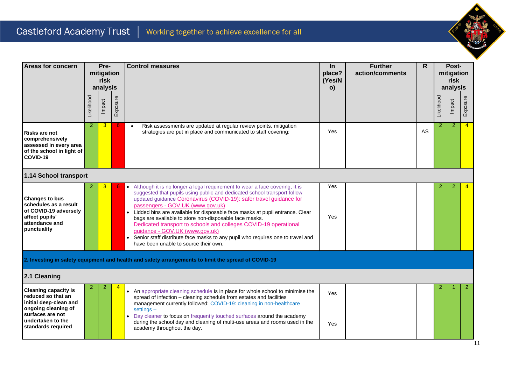

| <b>Areas for concern</b>                                                                                                                                          |                | Pre-<br>mitigation<br>risk |                | <b>Control measures</b>                                                                                                                                                                                                                                                                                                                                                                                                                                                                                                                                                                                                                      | In<br>place? | <b>Further</b><br>action/comments | $\overline{R}$ |                | Post-<br>mitigation |                |
|-------------------------------------------------------------------------------------------------------------------------------------------------------------------|----------------|----------------------------|----------------|----------------------------------------------------------------------------------------------------------------------------------------------------------------------------------------------------------------------------------------------------------------------------------------------------------------------------------------------------------------------------------------------------------------------------------------------------------------------------------------------------------------------------------------------------------------------------------------------------------------------------------------------|--------------|-----------------------------------|----------------|----------------|---------------------|----------------|
|                                                                                                                                                                   |                | analysis                   |                |                                                                                                                                                                                                                                                                                                                                                                                                                                                                                                                                                                                                                                              | (Yes/N<br>o) |                                   |                |                | risk<br>analysis    |                |
|                                                                                                                                                                   | Likelihood     | Impact                     | Exposure       |                                                                                                                                                                                                                                                                                                                                                                                                                                                                                                                                                                                                                                              |              |                                   |                | Likelihood     | Impact              | Exposure       |
| <b>Risks are not</b><br>comprehensively<br>assessed in every area<br>of the school in light of<br>COVID-19                                                        | $\overline{2}$ | 3                          | 6.             | Risk assessments are updated at regular review points, mitigation<br>$\bullet$<br>strategies are put in place and communicated to staff covering:                                                                                                                                                                                                                                                                                                                                                                                                                                                                                            | Yes          |                                   | AS             | $\overline{2}$ | $\overline{2}$      | $\overline{4}$ |
| 1.14 School transport                                                                                                                                             |                |                            |                |                                                                                                                                                                                                                                                                                                                                                                                                                                                                                                                                                                                                                                              |              |                                   |                |                |                     |                |
| Changes to bus<br>schedules as a result<br>of COVID-19 adversely<br>affect pupils'<br>attendance and<br>punctuality                                               |                | 3                          |                | Although it is no longer a legal requirement to wear a face covering, it is<br>suggested that pupils using public and dedicated school transport follow<br>updated guidance Coronavirus (COVID-19): safer travel guidance for<br>passengers - GOV.UK (www.gov.uk)<br>Lidded bins are available for disposable face masks at pupil entrance. Clear<br>bags are available to store non-disposable face masks.<br>Dedicated transport to schools and colleges COVID-19 operational<br>guidance - GOV.UK (www.gov.uk)<br>Senior staff distribute face masks to any pupil who requires one to travel and<br>have been unable to source their own. | Yes<br>Yes   |                                   |                | 2              | 2                   | $\overline{4}$ |
|                                                                                                                                                                   |                |                            |                | 2. Investing in safety equipment and health and safety arrangements to limit the spread of COVID-19                                                                                                                                                                                                                                                                                                                                                                                                                                                                                                                                          |              |                                   |                |                |                     |                |
| 2.1 Cleaning                                                                                                                                                      |                |                            |                |                                                                                                                                                                                                                                                                                                                                                                                                                                                                                                                                                                                                                                              |              |                                   |                |                |                     |                |
| <b>Cleaning capacity is</b><br>reduced so that an<br>initial deep-clean and<br>ongoing cleaning of<br>surfaces are not<br>undertaken to the<br>standards required | $\overline{2}$ | $\overline{2}$             | $\overline{4}$ | • An appropriate cleaning schedule is in place for whole school to minimise the<br>spread of infection - cleaning schedule from estates and facilities<br>management currently followed: COVID-19: cleaning in non-healthcare<br>$settings -$<br>Day cleaner to focus on frequently touched surfaces around the academy<br>during the school day and cleaning of multi-use areas and rooms used in the<br>academy throughout the day.                                                                                                                                                                                                        | Yes<br>Yes   |                                   |                | 2              |                     | $\overline{2}$ |
|                                                                                                                                                                   |                |                            |                |                                                                                                                                                                                                                                                                                                                                                                                                                                                                                                                                                                                                                                              |              |                                   |                |                |                     |                |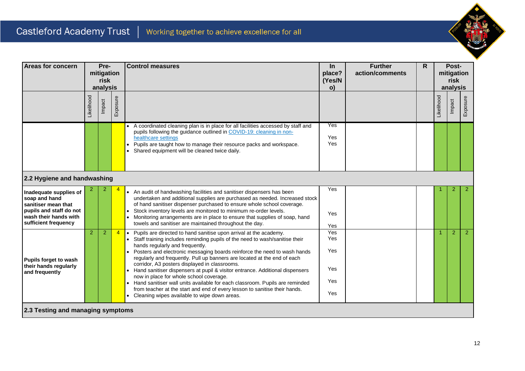

| <b>Areas for concern</b>                                                                                                                   |            | Pre-<br>mitigation<br>risk<br>analysis |          | <b>Control measures</b>                                                                                                                                                                                                                                                                                                                                                                                                                                                                                                                                                                                                                                                                                                              | $\ln$<br>place?<br>(Yes/N<br>$\mathbf{o}$ | <b>Further</b><br>action/comments | $\mathsf{R}$<br>Post-<br>mitigation<br>risk<br>analysis<br>Likelihood<br>Impact<br>2 |                |                |                |
|--------------------------------------------------------------------------------------------------------------------------------------------|------------|----------------------------------------|----------|--------------------------------------------------------------------------------------------------------------------------------------------------------------------------------------------------------------------------------------------------------------------------------------------------------------------------------------------------------------------------------------------------------------------------------------------------------------------------------------------------------------------------------------------------------------------------------------------------------------------------------------------------------------------------------------------------------------------------------------|-------------------------------------------|-----------------------------------|--------------------------------------------------------------------------------------|----------------|----------------|----------------|
|                                                                                                                                            | Likelihood | Impact                                 | Exposure |                                                                                                                                                                                                                                                                                                                                                                                                                                                                                                                                                                                                                                                                                                                                      |                                           |                                   |                                                                                      |                |                | Exposure       |
|                                                                                                                                            |            |                                        |          | A coordinated cleaning plan is in place for all facilities accessed by staff and<br>pupils following the guidance outlined in COVID-19: cleaning in non-<br>healthcare settings<br>Pupils are taught how to manage their resource packs and workspace.<br>Shared equipment will be cleaned twice daily.                                                                                                                                                                                                                                                                                                                                                                                                                              | Yes<br>Yes<br>Yes                         |                                   |                                                                                      |                |                |                |
| 2.2 Hygiene and handwashing                                                                                                                |            |                                        |          |                                                                                                                                                                                                                                                                                                                                                                                                                                                                                                                                                                                                                                                                                                                                      |                                           |                                   |                                                                                      |                |                |                |
| Inadequate supplies of<br>soap and hand<br>sanitiser mean that<br>pupils and staff do not<br>wash their hands with<br>sufficient frequency |            |                                        |          | An audit of handwashing facilities and sanitiser dispensers has been<br>undertaken and additional supplies are purchased as needed. Increased stock<br>of hand sanitiser dispenser purchased to ensure whole school coverage.<br>Stock inventory levels are monitored to minimum re-order levels.<br>Monitoring arrangements are in place to ensure that supplies of soap, hand<br>towels and sanitiser are maintained throughout the day.                                                                                                                                                                                                                                                                                           | Yes<br>Yes<br>Yes                         |                                   |                                                                                      |                |                | $\overline{2}$ |
| Pupils forget to wash<br>their hands regularly<br>and frequently                                                                           | 2          | $\overline{2}$                         | 4        | Pupils are directed to hand sanitise upon arrival at the academy.<br>Staff training includes reminding pupils of the need to wash/sanitise their<br>hands regularly and frequently.<br>Posters and electronic messaging boards reinforce the need to wash hands<br>regularly and frequently. Pull up banners are located at the end of each<br>corridor, A3 posters displayed in classrooms.<br>Hand sanitiser dispensers at pupil & visitor entrance. Additional dispensers<br>now in place for whole school coverage.<br>Hand sanitiser wall units available for each classroom. Pupils are reminded<br>from teacher at the start and end of every lesson to sanitise their hands.<br>Cleaning wipes available to wipe down areas. | Yes<br>Yes<br>Yes<br>Yes<br>Yes<br>Yes    |                                   |                                                                                      | $\overline{1}$ | $\overline{2}$ | 2 <sup>7</sup> |
| 2.3 Testing and managing symptoms                                                                                                          |            |                                        |          |                                                                                                                                                                                                                                                                                                                                                                                                                                                                                                                                                                                                                                                                                                                                      |                                           |                                   |                                                                                      |                |                |                |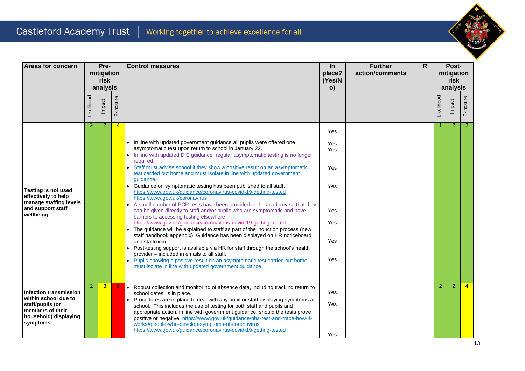

| <b>Areas for concern</b>                                                                                                           |                | Pre-<br>mitigation<br>risk<br>analysis |                | <b>Control measures</b>                                                                                                                                                                                                                                                                                                                                                                                                                                                                                                                                                                                                                                                                                                                                                                                                                                                                                                                                                                                                                                                                                                                                                                                                                                                                                         | In<br>place?<br>(Yes/N<br>o)                                | <b>Further</b><br>action/comments | $\mathsf{R}$ |                | Post-<br>mitigation<br>risk<br>analysis |                |
|------------------------------------------------------------------------------------------------------------------------------------|----------------|----------------------------------------|----------------|-----------------------------------------------------------------------------------------------------------------------------------------------------------------------------------------------------------------------------------------------------------------------------------------------------------------------------------------------------------------------------------------------------------------------------------------------------------------------------------------------------------------------------------------------------------------------------------------------------------------------------------------------------------------------------------------------------------------------------------------------------------------------------------------------------------------------------------------------------------------------------------------------------------------------------------------------------------------------------------------------------------------------------------------------------------------------------------------------------------------------------------------------------------------------------------------------------------------------------------------------------------------------------------------------------------------|-------------------------------------------------------------|-----------------------------------|--------------|----------------|-----------------------------------------|----------------|
|                                                                                                                                    | Likelihood     | Impact                                 | Exposure       |                                                                                                                                                                                                                                                                                                                                                                                                                                                                                                                                                                                                                                                                                                                                                                                                                                                                                                                                                                                                                                                                                                                                                                                                                                                                                                                 |                                                             |                                   |              | Likelihood     | Impact                                  | Exposure       |
| <b>Testing is not used</b><br>effectively to help<br>manage staffing levels<br>and support staff<br>wellbeing                      | $\overline{2}$ | $\overline{2}$                         | $\overline{4}$ | • In line with updated government guidance all pupils were offered one<br>asymptomatic test upon return to school in January 22.<br>• In line with updated DfE guidance, regular asymptomatic testing is no longer<br>required.<br>Staff must advise school if they show a positive result on an asymptomatic<br>test carried out home and must isolate in line with updated government<br>quidance.<br>Guidance on symptomatic testing has been published to all staff.<br>https://www.gov.uk/guidance/coronavirus-covid-19-getting-tested<br>https://www.gov.uk/coronavirus.<br>A small number of PCR tests have been provided to the academy so that they<br>can be given directly to staff and/or pupils who are symptomatic and have<br>barriers to accessing testing elsewhere<br>https://www.gov.uk/guidance/coronavirus-covid-19-getting-tested<br>The guidance will be explained to staff as part of the induction process (new<br>staff handbook appendix). Guidance has been displayed on HR noticeboard<br>and staffroom.<br>• Post-testing support is available via HR for staff through the school's health<br>provider - included in emails to all staff.<br>Pupils showing a positive result on an asymptomatic test carried out home<br>must isolate in line with updated government guidance. | Yes<br>Yes<br>Yes<br>Yes<br>Yes<br>Yes<br>Yes<br>Yes<br>Yes |                                   |              |                | $\overline{2}$                          | 2 <sup>2</sup> |
| <b>Infection transmission</b><br>within school due to<br>staff/pupils (or<br>members of their<br>household) displaying<br>symptoms | $\overline{2}$ | $\overline{3}$                         | 6              | • Robust collection and monitoring of absence data, including tracking return to<br>school dates, is in place.<br>Procedures are in place to deal with any pupil or staff displaying symptoms at<br>$\bullet$<br>school. This includes the use of testing for both staff and pupils and<br>appropriate action, in line with government guidance, should the tests prove<br>positive or negative. https://www.gov.uk/guidance/nhs-test-and-trace-how-it-<br>works#people-who-develop-symptoms-of-coronavirus<br>https://www.gov.uk/guidance/coronavirus-covid-19-getting-tested                                                                                                                                                                                                                                                                                                                                                                                                                                                                                                                                                                                                                                                                                                                                  | Yes<br>Yes<br>Yes                                           |                                   |              | $\overline{2}$ | 2                                       |                |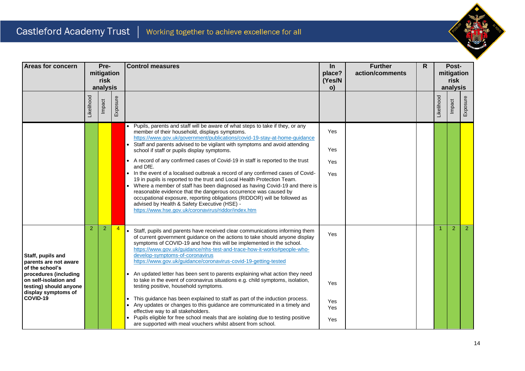

| Areas for concern                                                                                                                                                            |                | Pre-<br>mitigation<br>risk<br>analysis |                | <b>Control measures</b>                                                                                                                                                                                                                                                                                                                                                                                                                                                                                                                                                                                                                                                                                                                                                                                                                                                                                                                                                                                  | $\ln$<br>place?<br>(Yes/N<br>o) | <b>Further</b><br>action/comments | R |                      | Post-<br>mitigation<br>risk<br>analysis |                |
|------------------------------------------------------------------------------------------------------------------------------------------------------------------------------|----------------|----------------------------------------|----------------|----------------------------------------------------------------------------------------------------------------------------------------------------------------------------------------------------------------------------------------------------------------------------------------------------------------------------------------------------------------------------------------------------------------------------------------------------------------------------------------------------------------------------------------------------------------------------------------------------------------------------------------------------------------------------------------------------------------------------------------------------------------------------------------------------------------------------------------------------------------------------------------------------------------------------------------------------------------------------------------------------------|---------------------------------|-----------------------------------|---|----------------------|-----------------------------------------|----------------|
|                                                                                                                                                                              | Likelihood     | Impact                                 | Exposure       |                                                                                                                                                                                                                                                                                                                                                                                                                                                                                                                                                                                                                                                                                                                                                                                                                                                                                                                                                                                                          |                                 |                                   |   | Likelihood           | Impact                                  | Exposure       |
|                                                                                                                                                                              |                |                                        |                | Pupils, parents and staff will be aware of what steps to take if they, or any<br>$\bullet$<br>member of their household, displays symptoms.<br>https://www.gov.uk/government/publications/covid-19-stay-at-home-guidance<br>Staff and parents advised to be vigilant with symptoms and avoid attending<br>$\bullet$<br>school if staff or pupils display symptoms.<br>A record of any confirmed cases of Covid-19 in staff is reported to the trust<br>$\bullet$<br>and DfE.<br>In the event of a localised outbreak a record of any confirmed cases of Covid-<br>$\bullet$<br>19 in pupils is reported to the trust and Local Health Protection Team.<br>Where a member of staff has been diagnosed as having Covid-19 and there is<br>$\bullet$<br>reasonable evidence that the dangerous occurrence was caused by<br>occupational exposure, reporting obligations (RIDDOR) will be followed as<br>advised by Health & Safety Executive (HSE) -<br>https://www.hse.gov.uk/coronavirus/riddor/index.htm | Yes<br>Yes<br>Yes<br>Yes        |                                   |   |                      |                                         |                |
| Staff, pupils and<br>parents are not aware<br>of the school's<br>procedures (including<br>on self-isolation and<br>testing) should anyone<br>display symptoms of<br>COVID-19 | $\overline{2}$ | $\overline{2}$                         | $\overline{4}$ | Staff, pupils and parents have received clear communications informing them<br>$\bullet$<br>of current government guidance on the actions to take should anyone display<br>symptoms of COVID-19 and how this will be implemented in the school.<br>https://www.gov.uk/guidance/nhs-test-and-trace-how-it-works#people-who-<br>develop-symptoms-of-coronavirus<br>https://www.gov.uk/guidance/coronavirus-covid-19-getting-tested<br>An updated letter has been sent to parents explaining what action they need<br>to take in the event of coronavirus situations e.g. child symptoms, isolation,<br>testing positive, household symptoms.<br>This guidance has been explained to staff as part of the induction process.<br>Any updates or changes to this guidance are communicated in a timely and<br>effective way to all stakeholders.<br>Pupils eligible for free school meals that are isolating due to testing positive<br>are supported with meal vouchers whilst absent from school.           | Yes<br>Yes<br>Yes<br>Yes<br>Yes |                                   |   | $\blacktriangleleft$ | $\overline{2}$                          | 2 <sup>7</sup> |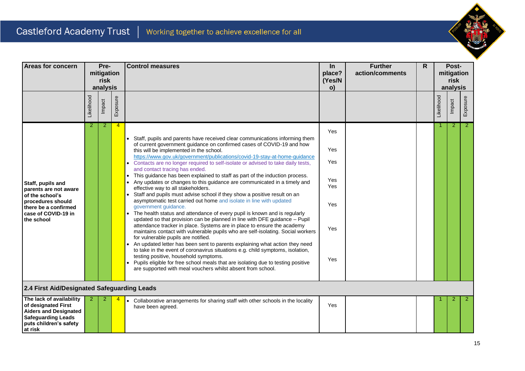

| <b>Areas for concern</b>                                                                                                                          |            | Pre-<br>mitigation<br>risk<br>analysis |                | <b>Control measures</b>                                                                                                                                                                                                                                                                                                                                                                                                                                                                                                                                                                                                                                                                                                                                                                                                                                                                                                                                                                                                                                                                                                                                                                                                                                                                                                                                                                                                                                                                                                                  | $\ln$<br>place?<br>(Yes/N<br>o)                      | <b>Further</b><br>action/comments | R |            | Post-<br>mitigation<br>risk<br>analysis |                |  |
|---------------------------------------------------------------------------------------------------------------------------------------------------|------------|----------------------------------------|----------------|------------------------------------------------------------------------------------------------------------------------------------------------------------------------------------------------------------------------------------------------------------------------------------------------------------------------------------------------------------------------------------------------------------------------------------------------------------------------------------------------------------------------------------------------------------------------------------------------------------------------------------------------------------------------------------------------------------------------------------------------------------------------------------------------------------------------------------------------------------------------------------------------------------------------------------------------------------------------------------------------------------------------------------------------------------------------------------------------------------------------------------------------------------------------------------------------------------------------------------------------------------------------------------------------------------------------------------------------------------------------------------------------------------------------------------------------------------------------------------------------------------------------------------------|------------------------------------------------------|-----------------------------------|---|------------|-----------------------------------------|----------------|--|
|                                                                                                                                                   | Likelihood | Impact                                 | Exposure       |                                                                                                                                                                                                                                                                                                                                                                                                                                                                                                                                                                                                                                                                                                                                                                                                                                                                                                                                                                                                                                                                                                                                                                                                                                                                                                                                                                                                                                                                                                                                          |                                                      |                                   |   | Likelihood | Impact                                  | Exposure       |  |
| Staff, pupils and<br>parents are not aware<br>of the school's<br>procedures should<br>there be a confirmed<br>case of COVID-19 in<br>the school   | 2          | 2                                      | $\overline{4}$ | • Staff, pupils and parents have received clear communications informing them<br>of current government guidance on confirmed cases of COVID-19 and how<br>this will be implemented in the school.<br>https://www.gov.uk/government/publications/covid-19-stay-at-home-guidance<br>• Contacts are no longer required to self-isolate or advised to take daily tests,<br>and contact tracing has ended.<br>This guidance has been explained to staff as part of the induction process.<br>$\bullet$<br>Any updates or changes to this guidance are communicated in a timely and<br>$\bullet$<br>effective way to all stakeholders.<br>Staff and pupils must advise school if they show a positive result on an<br>asymptomatic test carried out home and isolate in line with updated<br>government guidance.<br>The health status and attendance of every pupil is known and is regularly<br>updated so that provision can be planned in line with DFE guidance - Pupil<br>attendance tracker in place. Systems are in place to ensure the academy<br>maintains contact with vulnerable pupils who are self-isolating. Social workers<br>for vulnerable pupils are notified.<br>An updated letter has been sent to parents explaining what action they need<br>to take in the event of coronavirus situations e.g. child symptoms, isolation,<br>testing positive, household symptoms.<br>Pupils eligible for free school meals that are isolating due to testing positive<br>are supported with meal vouchers whilst absent from school. | Yes<br>Yes<br>Yes<br>Yes<br>Yes<br>Yes<br>Yes<br>Yes |                                   |   |            | 2                                       | 2 <sup>1</sup> |  |
| 2.4 First Aid/Designated Safeguarding Leads                                                                                                       |            |                                        |                |                                                                                                                                                                                                                                                                                                                                                                                                                                                                                                                                                                                                                                                                                                                                                                                                                                                                                                                                                                                                                                                                                                                                                                                                                                                                                                                                                                                                                                                                                                                                          |                                                      |                                   |   |            |                                         |                |  |
| The lack of availability<br>of designated First<br><b>Aiders and Designated</b><br><b>Safeguarding Leads</b><br>puts children's safety<br>at risk | 2          | 2                                      |                | • Collaborative arrangements for sharing staff with other schools in the locality<br>have been agreed.                                                                                                                                                                                                                                                                                                                                                                                                                                                                                                                                                                                                                                                                                                                                                                                                                                                                                                                                                                                                                                                                                                                                                                                                                                                                                                                                                                                                                                   | Yes                                                  |                                   |   |            | 2                                       | $\overline{2}$ |  |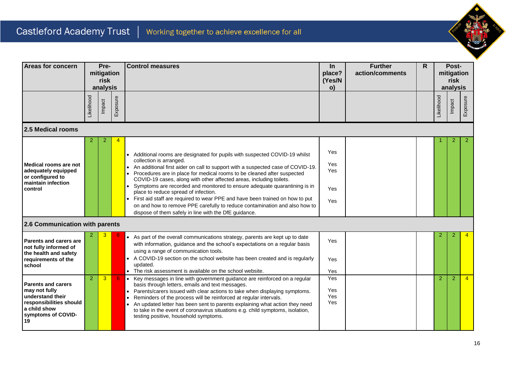

| Areas for concern                                                                                                                     |                | Pre-<br>mitigation<br>risk<br>analysis |          | <b>Control measures</b>                                                                                                                                                                                                                                                                                                                                                                                                                                                                                                                                                                                                                                                                   | $\ln$<br>place?<br>(Yes/N<br>o)        | <b>Further</b><br>action/comments | R. |                | Post-<br>mitigation<br>risk<br>analysis |                      |
|---------------------------------------------------------------------------------------------------------------------------------------|----------------|----------------------------------------|----------|-------------------------------------------------------------------------------------------------------------------------------------------------------------------------------------------------------------------------------------------------------------------------------------------------------------------------------------------------------------------------------------------------------------------------------------------------------------------------------------------------------------------------------------------------------------------------------------------------------------------------------------------------------------------------------------------|----------------------------------------|-----------------------------------|----|----------------|-----------------------------------------|----------------------|
|                                                                                                                                       | _ikelihood     | Impact                                 | Exposure |                                                                                                                                                                                                                                                                                                                                                                                                                                                                                                                                                                                                                                                                                           |                                        |                                   |    | Likelihood     | Impact                                  | Exposure             |
| 2.5 Medical rooms                                                                                                                     |                |                                        |          |                                                                                                                                                                                                                                                                                                                                                                                                                                                                                                                                                                                                                                                                                           |                                        |                                   |    |                |                                         |                      |
| Medical rooms are not<br>adequately equipped<br>or configured to<br>maintain infection<br>control                                     | 2              |                                        | 4        | • Additional rooms are designated for pupils with suspected COVID-19 whilst<br>collection is arranged.<br>An additional first aider on call to support with a suspected case of COVID-19.<br>Procedures are in place for medical rooms to be cleaned after suspected<br>COVID-19 cases, along with other affected areas, including toilets.<br>Symptoms are recorded and monitored to ensure adequate quarantining is in<br>place to reduce spread of infection.<br>• First aid staff are required to wear PPE and have been trained on how to put<br>on and how to remove PPE carefully to reduce contamination and also how to<br>dispose of them safely in line with the DfE guidance. | Yes<br><b>Yes</b><br>Yes<br>Yes<br>Yes |                                   |    |                | 2                                       | $\mathbf{2}^{\circ}$ |
| 2.6 Communication with parents                                                                                                        |                |                                        |          |                                                                                                                                                                                                                                                                                                                                                                                                                                                                                                                                                                                                                                                                                           |                                        |                                   |    |                |                                         |                      |
| Parents and carers are<br>not fully informed of<br>the health and safety<br>requirements of the<br>school                             |                | з                                      |          | • As part of the overall communications strategy, parents are kept up to date<br>with information, guidance and the school's expectations on a regular basis<br>using a range of communication tools.<br>• A COVID-19 section on the school website has been created and is regularly<br>updated.<br>• The risk assessment is available on the school website.                                                                                                                                                                                                                                                                                                                            | <b>Yes</b><br>Yes<br>Yes               |                                   |    | 2              | 2                                       | $\overline{4}$       |
| <b>Parents and carers</b><br>may not fully<br>understand their<br>responsibilities should<br>a child show<br>symptoms of COVID-<br>19 | $\overline{2}$ | 3                                      | 6        | Key messages in line with government guidance are reinforced on a regular<br>$\bullet$<br>basis through letters, emails and text messages.<br>Parents/carers issued with clear actions to take when displaying symptoms.<br>Reminders of the process will be reinforced at regular intervals.<br>$\bullet$<br>An updated letter has been sent to parents explaining what action they need<br>$\bullet$<br>to take in the event of coronavirus situations e.g. child symptoms, isolation,<br>testing positive, household symptoms.                                                                                                                                                         | Yes<br>Yes<br>Yes<br>Yes               |                                   |    | $\overline{2}$ | $\overline{2}$                          | 4 <sup>1</sup>       |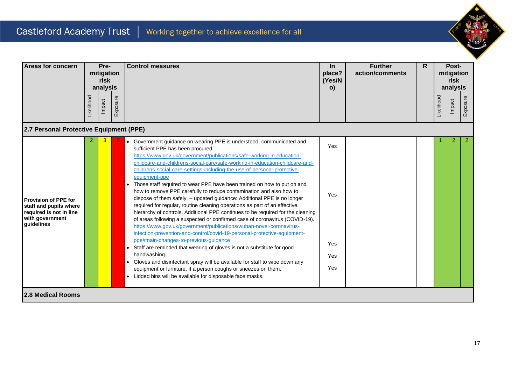

| Areas for concern                                                                                                 |            | Pre-<br>mitigation<br>risk<br>analysis |          | <b>Control measures</b>                                                                                                                                                                                                                                                                                                                                                                                                                                                                                                                                                                                                                                                                                                                                                                                                                                                                                                                                                                                                                                                                                                                                                                                                                                                                                                                                                     | $\ln$<br>place?<br>(Yes/N<br>$\mathbf{o}$ | <b>Further</b><br>action/comments | R. |            | Post-<br>mitigation<br>risk<br>analysis |                |
|-------------------------------------------------------------------------------------------------------------------|------------|----------------------------------------|----------|-----------------------------------------------------------------------------------------------------------------------------------------------------------------------------------------------------------------------------------------------------------------------------------------------------------------------------------------------------------------------------------------------------------------------------------------------------------------------------------------------------------------------------------------------------------------------------------------------------------------------------------------------------------------------------------------------------------------------------------------------------------------------------------------------------------------------------------------------------------------------------------------------------------------------------------------------------------------------------------------------------------------------------------------------------------------------------------------------------------------------------------------------------------------------------------------------------------------------------------------------------------------------------------------------------------------------------------------------------------------------------|-------------------------------------------|-----------------------------------|----|------------|-----------------------------------------|----------------|
|                                                                                                                   | Likelihood | Impact                                 | Exposure |                                                                                                                                                                                                                                                                                                                                                                                                                                                                                                                                                                                                                                                                                                                                                                                                                                                                                                                                                                                                                                                                                                                                                                                                                                                                                                                                                                             |                                           |                                   |    | Likelihood | Impact                                  | Exposure       |
| 2.7 Personal Protective Equipment (PPE)                                                                           |            |                                        |          |                                                                                                                                                                                                                                                                                                                                                                                                                                                                                                                                                                                                                                                                                                                                                                                                                                                                                                                                                                                                                                                                                                                                                                                                                                                                                                                                                                             |                                           |                                   |    |            |                                         |                |
| <b>Provision of PPE for</b><br>staff and pupils where<br>required is not in line<br>with government<br>quidelines |            |                                        |          | • Government guidance on wearing PPE is understood, communicated and<br>sufficient PPE has been procured:<br>https://www.gov.uk/government/publications/safe-working-in-education-<br>childcare-and-childrens-social-care/safe-working-in-education-childcare-and-<br>childrens-social-care-settings-including-the-use-of-personal-protective-<br>equipment-ppe<br>Those staff required to wear PPE have been trained on how to put on and<br>$\bullet$<br>how to remove PPE carefully to reduce contamination and also how to<br>dispose of them safely. - updated guidance: Additional PPE is no longer<br>required for regular, routine cleaning operations as part of an effective<br>hierarchy of controls. Additional PPE continues to be required for the cleaning<br>of areas following a suspected or confirmed case of coronavirus (COVID-19).<br>https://www.gov.uk/government/publications/wuhan-novel-coronavirus-<br>infection-prevention-and-control/covid-19-personal-protective-equipment-<br>ppe#main-changes-to-previous-guidance<br>Staff are reminded that wearing of gloves is not a substitute for good<br>$\bullet$<br>handwashing.<br>• Gloves and disinfectant spray will be available for staff to wipe down any<br>equipment or furniture, if a person coughs or sneezes on them.<br>• Lidded bins will be available for disposable face masks. | Yes<br>Yes<br>Yes<br>Yes<br>Yes           |                                   |    |            | 2                                       | $\overline{2}$ |
| <b>2.8 Medical Rooms</b>                                                                                          |            |                                        |          |                                                                                                                                                                                                                                                                                                                                                                                                                                                                                                                                                                                                                                                                                                                                                                                                                                                                                                                                                                                                                                                                                                                                                                                                                                                                                                                                                                             |                                           |                                   |    |            |                                         |                |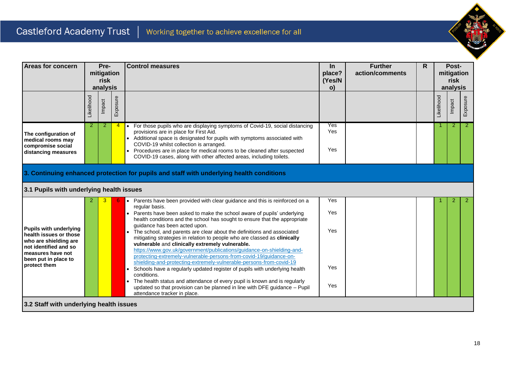

| <b>Areas for concern</b>                                                                                                                                               |            | Pre-<br>mitigation<br>risk<br>analysis |          | <b>Control measures</b>                                                                                                                                                                                                                                                                                                                                                                                                                                                                                                                                                                                                                                                                                                                                                                                                                                                                                       | $\ln$<br>place?<br>(Yes/N<br>$\mathsf{o}$ | <b>Further</b><br>action/comments | R |            | Post-<br>mitigation<br>risk<br>analysis |                |
|------------------------------------------------------------------------------------------------------------------------------------------------------------------------|------------|----------------------------------------|----------|---------------------------------------------------------------------------------------------------------------------------------------------------------------------------------------------------------------------------------------------------------------------------------------------------------------------------------------------------------------------------------------------------------------------------------------------------------------------------------------------------------------------------------------------------------------------------------------------------------------------------------------------------------------------------------------------------------------------------------------------------------------------------------------------------------------------------------------------------------------------------------------------------------------|-------------------------------------------|-----------------------------------|---|------------|-----------------------------------------|----------------|
|                                                                                                                                                                        | Likelihood | Impact                                 | Exposure |                                                                                                                                                                                                                                                                                                                                                                                                                                                                                                                                                                                                                                                                                                                                                                                                                                                                                                               |                                           |                                   |   | Likelihood | Impact                                  | Exposure       |
| The configuration of<br>medical rooms may<br>compromise social<br>distancing measures                                                                                  | 2          | 2                                      |          | For those pupils who are displaying symptoms of Covid-19, social distancing<br>$\bullet$<br>provisions are in place for First Aid.<br>Additional space is designated for pupils with symptoms associated with<br>COVID-19 whilst collection is arranged.<br>Procedures are in place for medical rooms to be cleaned after suspected<br>COVID-19 cases, along with other affected areas, including toilets.                                                                                                                                                                                                                                                                                                                                                                                                                                                                                                    | Yes<br>Yes<br>Yes                         |                                   |   | 1          | $\overline{2}$                          | $\overline{2}$ |
|                                                                                                                                                                        |            |                                        |          | 3. Continuing enhanced protection for pupils and staff with underlying health conditions                                                                                                                                                                                                                                                                                                                                                                                                                                                                                                                                                                                                                                                                                                                                                                                                                      |                                           |                                   |   |            |                                         |                |
| 3.1 Pupils with underlying health issues                                                                                                                               |            |                                        |          |                                                                                                                                                                                                                                                                                                                                                                                                                                                                                                                                                                                                                                                                                                                                                                                                                                                                                                               |                                           |                                   |   |            |                                         |                |
|                                                                                                                                                                        | 2          |                                        |          | Parents have been provided with clear guidance and this is reinforced on a<br>$\bullet$<br>regular basis.                                                                                                                                                                                                                                                                                                                                                                                                                                                                                                                                                                                                                                                                                                                                                                                                     | Yes                                       |                                   |   |            | 2                                       | $\overline{2}$ |
| <b>Pupils with underlying</b><br>health issues or those<br>who are shielding are<br>not identified and so<br>measures have not<br>been put in place to<br>protect them |            |                                        |          | Parents have been asked to make the school aware of pupils' underlying<br>health conditions and the school has sought to ensure that the appropriate<br>quidance has been acted upon.<br>The school, and parents are clear about the definitions and associated<br>mitigating strategies in relation to people who are classed as clinically<br>vulnerable and clinically extremely vulnerable.<br>https://www.gov.uk/government/publications/guidance-on-shielding-and-<br>protecting-extremely-vulnerable-persons-from-covid-19/guidance-on-<br>shielding-and-protecting-extremely-vulnerable-persons-from-covid-19<br>Schools have a regularly updated register of pupils with underlying health<br>conditions.<br>The health status and attendance of every pupil is known and is regularly<br>updated so that provision can be planned in line with DFE guidance - Pupil<br>attendance tracker in place. | Yes<br>Yes<br>Yes<br>Yes                  |                                   |   |            |                                         |                |
| 3.2 Staff with underlying health issues                                                                                                                                |            |                                        |          |                                                                                                                                                                                                                                                                                                                                                                                                                                                                                                                                                                                                                                                                                                                                                                                                                                                                                                               |                                           |                                   |   |            |                                         |                |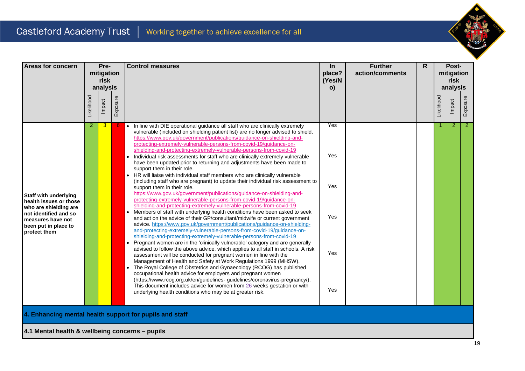

| <b>Areas for concern</b>                                                                                                                                              |                | Pre-<br>mitigation<br>risk<br>analysis |          | <b>Control measures</b>                                                                                                                                                                                                                                                                                                                                                                                                                                                                                                                                                                                                                                                                                                                                                                                                                                                                                                                                                                                                                                                                                                                                                                                                                                                                                                                                                                                                                                                                                                                                                                                                                                                                                                                                                                                                                                                                                                                                                                                                                                                                                | In<br>place?<br>(Yes/N<br>$\mathbf{o}$ | <b>Further</b><br>action/comments | $\mathsf{R}$ |            | Post-<br>mitigation<br>risk<br>analysis |                |
|-----------------------------------------------------------------------------------------------------------------------------------------------------------------------|----------------|----------------------------------------|----------|--------------------------------------------------------------------------------------------------------------------------------------------------------------------------------------------------------------------------------------------------------------------------------------------------------------------------------------------------------------------------------------------------------------------------------------------------------------------------------------------------------------------------------------------------------------------------------------------------------------------------------------------------------------------------------------------------------------------------------------------------------------------------------------------------------------------------------------------------------------------------------------------------------------------------------------------------------------------------------------------------------------------------------------------------------------------------------------------------------------------------------------------------------------------------------------------------------------------------------------------------------------------------------------------------------------------------------------------------------------------------------------------------------------------------------------------------------------------------------------------------------------------------------------------------------------------------------------------------------------------------------------------------------------------------------------------------------------------------------------------------------------------------------------------------------------------------------------------------------------------------------------------------------------------------------------------------------------------------------------------------------------------------------------------------------------------------------------------------------|----------------------------------------|-----------------------------------|--------------|------------|-----------------------------------------|----------------|
|                                                                                                                                                                       | Likelihood     | Impact                                 | Exposure |                                                                                                                                                                                                                                                                                                                                                                                                                                                                                                                                                                                                                                                                                                                                                                                                                                                                                                                                                                                                                                                                                                                                                                                                                                                                                                                                                                                                                                                                                                                                                                                                                                                                                                                                                                                                                                                                                                                                                                                                                                                                                                        |                                        |                                   |              | Likelihood | Impact                                  | Exposure       |
| <b>Staff with underlying</b><br>health issues or those<br>who are shielding are<br>not identified and so<br>measures have not<br>been put in place to<br>protect them | $\overline{2}$ | 3                                      |          | • In line with DfE operational guidance all staff who are clinically extremely<br>vulnerable (included on shielding patient list) are no longer advised to shield.<br>https://www.gov.uk/government/publications/guidance-on-shielding-and-<br>protecting-extremely-vulnerable-persons-from-covid-19/guidance-on-<br>shielding-and-protecting-extremely-vulnerable-persons-from-covid-19<br>Individual risk assessments for staff who are clinically extremely vulnerable<br>$\bullet$<br>have been updated prior to returning and adjustments have been made to<br>support them in their role.<br>HR will liaise with individual staff members who are clinically vulnerable<br>(including staff who are pregnant) to update their individual risk assessment to<br>support them in their role.<br>https://www.gov.uk/government/publications/guidance-on-shielding-and-<br>protecting-extremely-vulnerable-persons-from-covid-19/guidance-on-<br>shielding-and-protecting-extremely-vulnerable-persons-from-covid-19<br>Members of staff with underlying health conditions have been asked to seek<br>and act on the advice of their GP/consultant/midwife or current government<br>advice. https://www.gov.uk/government/publications/guidance-on-shielding-<br>and-protecting-extremely-vulnerable-persons-from-covid-19/guidance-on-<br>shielding-and-protecting-extremely-vulnerable-persons-from-covid-19<br>Pregnant women are in the 'clinically vulnerable' category and are generally<br>$\bullet$<br>advised to follow the above advice, which applies to all staff in schools. A risk<br>assessment will be conducted for pregnant women in line with the<br>Management of Health and Safety at Work Regulations 1999 (MHSW).<br>The Royal College of Obstetrics and Gynaecology (RCOG) has published<br>occupational health advice for employers and pregnant women<br>(https://www.rcog.org.uk/en/guidelines-guidelines/coronavirus-pregnancy/).<br>This document includes advice for women from 26 weeks gestation or with<br>underlying health conditions who may be at greater risk. | Yes<br>Yes<br>Yes<br>Yes<br>Yes<br>Yes |                                   |              |            | 2                                       | $\overline{2}$ |

**4. Enhancing mental health support for pupils and staff**

**4.1 Mental health & wellbeing concerns – pupils**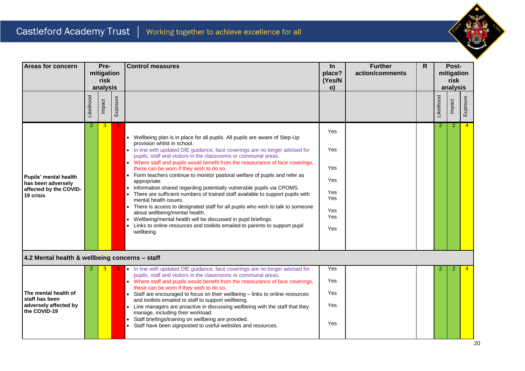

| <b>Areas for concern</b>                                        |            | Pre-<br>mitigation<br>risk<br>analysis |          | <b>Control measures</b>                                                                                                                                                                                                                                                                                                                                                                                                                                                                                       | In<br>place?<br>(Yes/N<br>o)           | <b>Further</b><br>action/comments | $\mathsf{R}$ |                | Post-<br>mitigation<br>risk<br>analysis |                |
|-----------------------------------------------------------------|------------|----------------------------------------|----------|---------------------------------------------------------------------------------------------------------------------------------------------------------------------------------------------------------------------------------------------------------------------------------------------------------------------------------------------------------------------------------------------------------------------------------------------------------------------------------------------------------------|----------------------------------------|-----------------------------------|--------------|----------------|-----------------------------------------|----------------|
|                                                                 | Likelihood | Impact                                 | Exposure |                                                                                                                                                                                                                                                                                                                                                                                                                                                                                                               |                                        |                                   |              | Likelihood     | Impact                                  | Exposure       |
| Pupils' mental health                                           | 2          | 3                                      |          | • Wellbeing plan is in place for all pupils. All pupils are aware of Step-Up<br>provision whilst in school.<br>• In line with updated DfE guidance, face coverings are no longer advised for<br>pupils, staff and visitors in the classrooms or communal areas.<br>• Where staff and pupils would benefit from the reassurance of face coverings,<br>these can be worn if they wish to do so.<br>• Form teachers continue to monitor pastoral welfare of pupils and refer as                                  | <b>Yes</b><br>Yes<br>Yes               |                                   |              | $\overline{2}$ | 2                                       | $\overline{4}$ |
| has been adversely<br>affected by the COVID-<br>19 crisis       |            |                                        |          | appropriate.<br>Information shared regarding potentially vulnerable pupils via CPOMS.<br>$\bullet$<br>There are sufficient numbers of trained staff available to support pupils with<br>mental health issues.<br>There is access to designated staff for all pupils who wish to talk to someone<br>about wellbeing/mental health.<br>Wellbeing/mental health will be discussed in pupil briefings.<br>$\bullet$<br>• Links to online resources and toolkits emailed to parents to support pupil<br>wellbeing. | Yes<br>Yes<br>Yes<br>Yes<br>Yes<br>Yes |                                   |              |                |                                         |                |
| 4.2 Mental health & wellbeing concerns - staff                  |            |                                        |          |                                                                                                                                                                                                                                                                                                                                                                                                                                                                                                               |                                        |                                   |              |                |                                         |                |
| The mental health of<br>staff has been<br>adversely affected by |            | 3                                      |          | . In line with updated DfE guidance, face coverings are no longer advised for<br>pupils, staff and visitors in the classrooms or communal areas.<br>• Where staff and pupils would benefit from the reassurance of face coverings,<br>these can be worn if they wish to do so.<br>• Staff are encouraged to focus on their wellbeing - links to online resources<br>and toolkits emailed to staff to support wellbeing.<br>• Line managers are proactive in discussing wellbeing with the staff that they     | Yes<br>Yes<br>Yes<br>Yes               |                                   |              |                | 2                                       |                |
| the COVID-19                                                    |            |                                        |          | manage, including their workload.<br>Staff briefings/training on wellbeing are provided.<br>Staff have been signposted to useful websites and resources.<br>$\bullet$                                                                                                                                                                                                                                                                                                                                         | Yes                                    |                                   |              |                |                                         |                |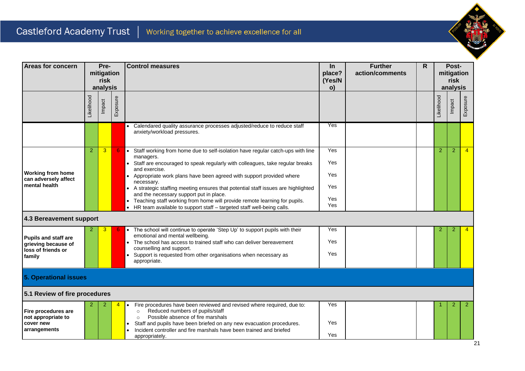

| Areas for concern                                |                | Pre-<br>mitigation<br>risk<br>analysis |          | <b>Control measures</b>                                                                                                                                                                     | In<br>place?<br>(Yes/N<br>o) | <b>Further</b><br>action/comments | $\mathsf{R}$ |                | Post-<br>mitigation<br>risk<br>analysis |                |
|--------------------------------------------------|----------------|----------------------------------------|----------|---------------------------------------------------------------------------------------------------------------------------------------------------------------------------------------------|------------------------------|-----------------------------------|--------------|----------------|-----------------------------------------|----------------|
|                                                  | Likelihood     | Impact                                 | Exposure |                                                                                                                                                                                             |                              |                                   |              | Likelihood     | Impact                                  | Exposure       |
|                                                  |                |                                        |          | Calendared quality assurance processes adjusted/reduce to reduce staff<br>anxiety/workload pressures.                                                                                       | Yes                          |                                   |              |                |                                         |                |
|                                                  | $\overline{2}$ | 3                                      | 6        | Staff working from home due to self-isolation have regular catch-ups with line<br>$\bullet$<br>managers.<br>$\bullet$                                                                       | Yes<br>Yes                   |                                   |              | $\overline{2}$ | $\overline{2}$                          | $\overline{4}$ |
| <b>Working from home</b><br>can adversely affect |                |                                        |          | Staff are encouraged to speak regularly with colleagues, take regular breaks<br>and exercise.<br>Appropriate work plans have been agreed with support provided where                        | Yes                          |                                   |              |                |                                         |                |
| mental health                                    |                |                                        |          | necessary.<br>• A strategic staffing meeting ensures that potential staff issues are highlighted<br>and the necessary support put in place.                                                 | Yes                          |                                   |              |                |                                         |                |
|                                                  |                |                                        |          | Teaching staff working from home will provide remote learning for pupils.<br>$\bullet$<br>$\bullet$<br>HR team available to support staff - targeted staff well-being calls.                | Yes<br>Yes                   |                                   |              |                |                                         |                |
| 4.3 Bereavement support                          |                |                                        |          |                                                                                                                                                                                             |                              |                                   |              |                |                                         |                |
| <b>Pupils and staff are</b>                      |                | 3                                      |          | The school will continue to operate 'Step Up' to support pupils with their<br>emotional and mental wellbeing.                                                                               | Yes                          |                                   |              | 2              | 2                                       |                |
| grieving because of<br>loss of friends or        |                |                                        |          | The school has access to trained staff who can deliver bereavement<br>counselling and support.<br>Support is requested from other organisations when necessary as                           | Yes<br>Yes                   |                                   |              |                |                                         |                |
| family                                           |                |                                        |          | appropriate.                                                                                                                                                                                |                              |                                   |              |                |                                         |                |
| 5. Operational issues                            |                |                                        |          |                                                                                                                                                                                             |                              |                                   |              |                |                                         |                |
| 5.1 Review of fire procedures                    |                |                                        |          |                                                                                                                                                                                             |                              |                                   |              |                |                                         |                |
| Fire procedures are                              |                |                                        |          | Fire procedures have been reviewed and revised where required, due to:<br>Reduced numbers of pupils/staff<br>$\circ$                                                                        | Yes                          |                                   |              |                | 2                                       | $\overline{2}$ |
| not appropriate to<br>cover new<br>arrangements  |                |                                        |          | Possible absence of fire marshals<br>$\circ$<br>Staff and pupils have been briefed on any new evacuation procedures.<br>Incident controller and fire marshals have been trained and briefed | Yes                          |                                   |              |                |                                         |                |
|                                                  |                |                                        |          | appropriately.                                                                                                                                                                              | Yes                          |                                   |              |                |                                         |                |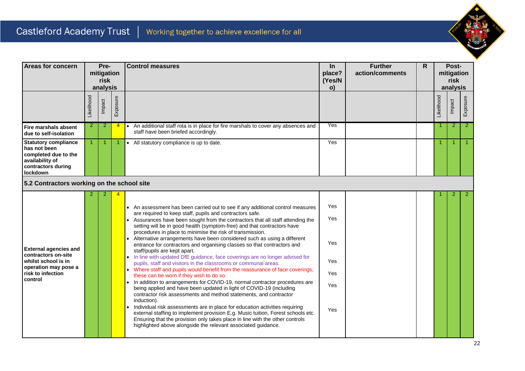

| Areas for concern                                                                                                                  | Pre-<br>mitigation<br>risk<br>analysis |        |                | <b>Control measures</b>                                                                                                                                                                                                                                                                                                                                                                                                                                                                                                                                                                                                                                                                                                                                                                                                                                                                                                                                                                                                                                                                                                                                                                                                                                                                                                                                                                                                 | <b>In</b><br>place?<br>(Yes/N<br>o)           | <b>Further</b><br>action/comments | R |            | Post-<br>mitigation<br>risk<br>analysis |                      |
|------------------------------------------------------------------------------------------------------------------------------------|----------------------------------------|--------|----------------|-------------------------------------------------------------------------------------------------------------------------------------------------------------------------------------------------------------------------------------------------------------------------------------------------------------------------------------------------------------------------------------------------------------------------------------------------------------------------------------------------------------------------------------------------------------------------------------------------------------------------------------------------------------------------------------------------------------------------------------------------------------------------------------------------------------------------------------------------------------------------------------------------------------------------------------------------------------------------------------------------------------------------------------------------------------------------------------------------------------------------------------------------------------------------------------------------------------------------------------------------------------------------------------------------------------------------------------------------------------------------------------------------------------------------|-----------------------------------------------|-----------------------------------|---|------------|-----------------------------------------|----------------------|
|                                                                                                                                    | Likelihood                             | Impact | Exposure       |                                                                                                                                                                                                                                                                                                                                                                                                                                                                                                                                                                                                                                                                                                                                                                                                                                                                                                                                                                                                                                                                                                                                                                                                                                                                                                                                                                                                                         |                                               |                                   |   | Likelihood | Impact                                  | Exposure             |
| Fire marshals absent<br>due to self-isolation                                                                                      | 2                                      | 2      | $\overline{4}$ | An additional staff rota is in place for fire marshals to cover any absences and<br>$\bullet$<br>staff have been briefed accordingly.                                                                                                                                                                                                                                                                                                                                                                                                                                                                                                                                                                                                                                                                                                                                                                                                                                                                                                                                                                                                                                                                                                                                                                                                                                                                                   | Yes                                           |                                   |   |            | 2                                       | $\overline{2}$       |
| <b>Statutory compliance</b><br>has not been<br>completed due to the<br>availability of<br>contractors during<br><b>lockdown</b>    | $\blacktriangleleft$                   | -1     |                | All statutory compliance is up to date.<br>$\bullet$                                                                                                                                                                                                                                                                                                                                                                                                                                                                                                                                                                                                                                                                                                                                                                                                                                                                                                                                                                                                                                                                                                                                                                                                                                                                                                                                                                    | Yes                                           |                                   |   | 1          | -1                                      | $\blacktriangleleft$ |
| 5.2 Contractors working on the school site                                                                                         |                                        |        |                |                                                                                                                                                                                                                                                                                                                                                                                                                                                                                                                                                                                                                                                                                                                                                                                                                                                                                                                                                                                                                                                                                                                                                                                                                                                                                                                                                                                                                         |                                               |                                   |   |            |                                         |                      |
| <b>External agencies and</b><br>contractors on-site<br>whilst school is in<br>operation may pose a<br>risk to infection<br>control |                                        |        |                | • An assessment has been carried out to see if any additional control measures<br>are required to keep staff, pupils and contractors safe.<br>• Assurances have been sought from the contractors that all staff attending the<br>setting will be in good health (symptom-free) and that contractors have<br>procedures in place to minimise the risk of transmission.<br>Alternative arrangements have been considered such as using a different<br>$\bullet$<br>entrance for contractors and organising classes so that contractors and<br>staff/pupils are kept apart.<br>• In line with updated DfE guidance, face coverings are no longer advised for<br>pupils, staff and visitors in the classrooms or communal areas.<br>• Where staff and pupils would benefit from the reassurance of face coverings,<br>these can be worn if they wish to do so.<br>In addition to arrangements for COVID-19, normal contractor procedures are<br>being applied and have been updated in light of COVID-19 (including<br>contractor risk assessments and method statements, and contractor<br>induction).<br>Individual risk assessments are in place for education activities requiring<br>external staffing to implement provision E.g. Music tuition, Forest schools etc.<br>Ensuring that the provision only takes place in line with the other controls<br>highlighted above alongside the relevant associated guidance. | Yes<br>Yes<br>Yes<br>Yes<br>Yes<br>Yes<br>Yes |                                   |   |            |                                         | $\overline{2}$       |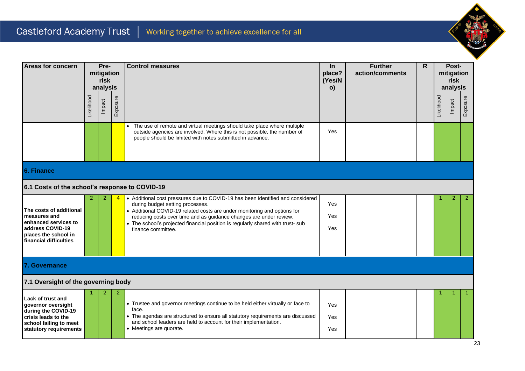

| <b>Areas for concern</b>                                                                                                                         | Pre-<br>mitigation<br>risk<br>analysis |        |          |                                                                                                                                                                                                                                                                                                                                                                               | <b>Control measures</b> | $\ln$<br>place?<br>(Yes/N<br>o) | <b>Further</b><br>action/comments | $\mathsf{R}$ | mitigation<br>analysis | Post-<br>risk |
|--------------------------------------------------------------------------------------------------------------------------------------------------|----------------------------------------|--------|----------|-------------------------------------------------------------------------------------------------------------------------------------------------------------------------------------------------------------------------------------------------------------------------------------------------------------------------------------------------------------------------------|-------------------------|---------------------------------|-----------------------------------|--------------|------------------------|---------------|
|                                                                                                                                                  | Likelihood                             | Impact | Exposure |                                                                                                                                                                                                                                                                                                                                                                               |                         |                                 |                                   | Likelihood   | Impact                 | Exposure      |
|                                                                                                                                                  |                                        |        |          | The use of remote and virtual meetings should take place where multiple<br>outside agencies are involved. Where this is not possible, the number of<br>people should be limited with notes submitted in advance.                                                                                                                                                              | Yes                     |                                 |                                   |              |                        |               |
| 6. Finance                                                                                                                                       |                                        |        |          |                                                                                                                                                                                                                                                                                                                                                                               |                         |                                 |                                   |              |                        |               |
| 6.1 Costs of the school's response to COVID-19                                                                                                   |                                        |        |          |                                                                                                                                                                                                                                                                                                                                                                               |                         |                                 |                                   |              |                        |               |
| The costs of additional<br>measures and<br>enhanced services to<br>address COVID-19<br>places the school in<br>financial difficulties            | 2                                      | 2      |          | • Additional cost pressures due to COVID-19 has been identified and considered<br>during budget setting processes.<br>• Additional COVID-19 related costs are under monitoring and options for<br>reducing costs over time and as guidance changes are under review.<br>• The school's projected financial position is regularly shared with trust- sub<br>finance committee. | Yes<br>Yes<br>Yes       |                                 |                                   |              | 2                      | -2            |
| 7. Governance                                                                                                                                    |                                        |        |          |                                                                                                                                                                                                                                                                                                                                                                               |                         |                                 |                                   |              |                        |               |
| 7.1 Oversight of the governing body                                                                                                              |                                        |        |          |                                                                                                                                                                                                                                                                                                                                                                               |                         |                                 |                                   |              |                        |               |
| <b>Lack of trust and</b><br>governor oversight<br>during the COVID-19<br>crisis leads to the<br>school failing to meet<br>statutory requirements |                                        |        | 2        | • Trustee and governor meetings continue to be held either virtually or face to<br>face.<br>• The agendas are structured to ensure all statutory requirements are discussed<br>and school leaders are held to account for their implementation.<br>• Meetings are quorate.                                                                                                    | Yes<br>Yes<br>Yes       |                                 |                                   |              |                        |               |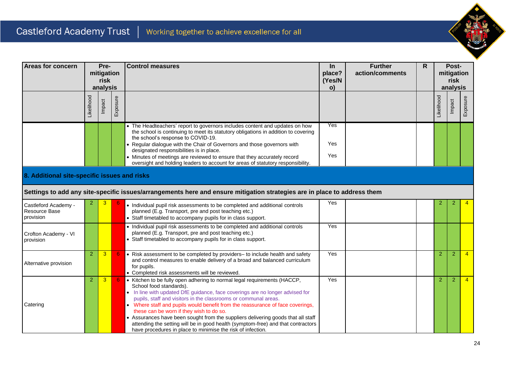

| Areas for concern                                  | Pre-<br>mitigation<br>risk<br>analysis |        |          |                                                                                                                                                                                                                                                                                                                                                                                                                                                                                                                                                                                                                              |                   | <b>Control measures</b> |  | $\ln$<br>place?<br>(Yes/N<br>o) | <b>Further</b><br>action/comments | R              | Post-<br>mitigation<br>risk<br>analysis |  |  |  |  |
|----------------------------------------------------|----------------------------------------|--------|----------|------------------------------------------------------------------------------------------------------------------------------------------------------------------------------------------------------------------------------------------------------------------------------------------------------------------------------------------------------------------------------------------------------------------------------------------------------------------------------------------------------------------------------------------------------------------------------------------------------------------------------|-------------------|-------------------------|--|---------------------------------|-----------------------------------|----------------|-----------------------------------------|--|--|--|--|
|                                                    | <b>ikelihood</b>                       | Impact | Exposure |                                                                                                                                                                                                                                                                                                                                                                                                                                                                                                                                                                                                                              |                   |                         |  | Likelihood                      | Impact                            | Exposure       |                                         |  |  |  |  |
|                                                    |                                        |        |          | • The Headteachers' report to governors includes content and updates on how<br>the school is continuing to meet its statutory obligations in addition to covering<br>the school's response to COVID-19.<br>• Regular dialogue with the Chair of Governors and those governors with<br>designated responsibilities is in place.<br>• Minutes of meetings are reviewed to ensure that they accurately record<br>oversight and holding leaders to account for areas of statutory responsibility.                                                                                                                                | Yes<br>Yes<br>Yes |                         |  |                                 |                                   |                |                                         |  |  |  |  |
| 8. Additional site-specific issues and risks       |                                        |        |          |                                                                                                                                                                                                                                                                                                                                                                                                                                                                                                                                                                                                                              |                   |                         |  |                                 |                                   |                |                                         |  |  |  |  |
|                                                    |                                        |        |          | Settings to add any site-specific issues/arrangements here and ensure mitigation strategies are in place to address them                                                                                                                                                                                                                                                                                                                                                                                                                                                                                                     |                   |                         |  |                                 |                                   |                |                                         |  |  |  |  |
| Castleford Academy -<br>Resource Base<br>provision | 2                                      |        |          | • Individual pupil risk assessments to be completed and additional controls<br>planned (E.g. Transport, pre and post teaching etc.)<br>• Staff timetabled to accompany pupils for in class support.                                                                                                                                                                                                                                                                                                                                                                                                                          | Yes               |                         |  | 2                               | 2                                 |                |                                         |  |  |  |  |
| Crofton Academy - VI<br>provision                  |                                        |        |          | • Individual pupil risk assessments to be completed and additional controls<br>planned (E.g. Transport, pre and post teaching etc.)<br>• Staff timetabled to accompany pupils for in class support.                                                                                                                                                                                                                                                                                                                                                                                                                          | Yes               |                         |  |                                 |                                   |                |                                         |  |  |  |  |
| Alternative provision                              | $\overline{2}$                         | 3      |          | • Risk assessment to be completed by providers- to include health and safety<br>and control measures to enable delivery of a broad and balanced curriculum<br>for pupils.<br>• Completed risk assessments will be reviewed.                                                                                                                                                                                                                                                                                                                                                                                                  | Yes               |                         |  | $\overline{2}$                  | $\overline{2}$                    |                |                                         |  |  |  |  |
| Catering                                           | $\overline{2}$                         | 3      |          | • Kitchen to be fully open adhering to normal legal requirements (HACCP,<br>School food standards).<br>• In line with updated DfE guidance, face coverings are no longer advised for<br>pupils, staff and visitors in the classrooms or communal areas.<br>• Where staff and pupils would benefit from the reassurance of face coverings,<br>these can be worn if they wish to do so.<br>• Assurances have been sought from the suppliers delivering goods that all staff<br>attending the setting will be in good health (symptom-free) and that contractors<br>have procedures in place to minimise the risk of infection. | Yes               |                         |  | $\overline{2}$                  | $\overline{2}$                    | $\overline{4}$ |                                         |  |  |  |  |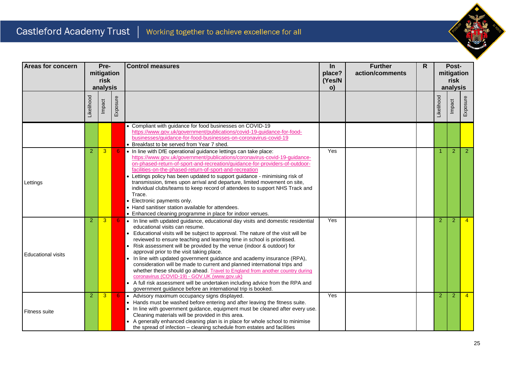

| Areas for concern         | Pre-                           |        |          | <b>Control measures</b>                                                                                                                                                                                                                                                                                                                                                                                                                                                                                                                                                                                                                                                                                                                                                                                                                       | In           | <b>Further</b> | $\mathsf{R}$ |                   | Post-           |                |  |                    |  |
|---------------------------|--------------------------------|--------|----------|-----------------------------------------------------------------------------------------------------------------------------------------------------------------------------------------------------------------------------------------------------------------------------------------------------------------------------------------------------------------------------------------------------------------------------------------------------------------------------------------------------------------------------------------------------------------------------------------------------------------------------------------------------------------------------------------------------------------------------------------------------------------------------------------------------------------------------------------------|--------------|----------------|--------------|-------------------|-----------------|----------------|--|--------------------|--|
|                           | mitigation<br>risk<br>analysis |        |          |                                                                                                                                                                                                                                                                                                                                                                                                                                                                                                                                                                                                                                                                                                                                                                                                                                               |              |                |              | place?<br>(Yes/N  | action/comments |                |  | mitigation<br>risk |  |
|                           |                                |        |          |                                                                                                                                                                                                                                                                                                                                                                                                                                                                                                                                                                                                                                                                                                                                                                                                                                               | $\mathsf{o}$ |                |              |                   | analysis        |                |  |                    |  |
|                           | _ikelihood                     | Impact | Exposure |                                                                                                                                                                                                                                                                                                                                                                                                                                                                                                                                                                                                                                                                                                                                                                                                                                               |              |                |              | <b>Likelihood</b> | Impact          | Exposure       |  |                    |  |
|                           |                                |        |          | • Compliant with guidance for food businesses on COVID-19<br>https://www.gov.uk/government/publications/covid-19-guidance-for-food-<br>businesses/guidance-for-food-businesses-on-coronavirus-covid-19<br>• Breakfast to be served from Year 7 shed.                                                                                                                                                                                                                                                                                                                                                                                                                                                                                                                                                                                          |              |                |              |                   |                 |                |  |                    |  |
| Lettings                  | $\overline{2}$                 | 3      | 6        | . In line with DfE operational guidance lettings can take place:<br>https://www.gov.uk/government/publications/coronavirus-covid-19-guidance-<br>on-phased-return-of-sport-and-recreation/guidance-for-providers-of-outdoor-<br>facilities-on-the-phased-return-of-sport-and-recreation<br>• Lettings policy has been updated to support guidance - minimising risk of<br>transmission, times upon arrival and departure, limited movement on site,<br>individual clubs/teams to keep record of attendees to support NHS Track and<br>Trace.<br>Electronic payments only.<br>• Hand sanitiser station available for attendees.<br>• Enhanced cleaning programme in place for indoor venues.                                                                                                                                                   | Yes          |                |              | 1                 | $\overline{2}$  | $\overline{2}$ |  |                    |  |
| <b>Educational visits</b> | 2                              | 3      | 6        | . In line with updated guidance, educational day visits and domestic residential<br>educational visits can resume.<br>Educational visits will be subject to approval. The nature of the visit will be<br>reviewed to ensure teaching and learning time in school is prioritised.<br>• Risk assessment will be provided by the venue (indoor & outdoor) for<br>approval prior to the visit taking place.<br>• In line with updated government guidance and academy insurance (RPA),<br>consideration will be made to current and planned international trips and<br>whether these should go ahead. Travel to England from another country during<br>coronavirus (COVID-19) - GOV.UK (www.gov.uk)<br>A full risk assessment will be undertaken including advice from the RPA and<br>government guidance before an international trip is booked. | Yes          |                |              | $\overline{2}$    | $\overline{2}$  | $\overline{4}$ |  |                    |  |
| <b>Fitness suite</b>      | 2                              | 3      |          | • Advisory maximum occupancy signs displayed.<br>• Hands must be washed before entering and after leaving the fitness suite.<br>• In line with government guidance, equipment must be cleaned after every use.<br>Cleaning materials will be provided in this area.<br>• A generally enhanced cleaning plan is in place for whole school to minimise<br>the spread of infection – cleaning schedule from estates and facilities                                                                                                                                                                                                                                                                                                                                                                                                               | Yes          |                |              | $\overline{2}$    | $\overline{2}$  | $\overline{4}$ |  |                    |  |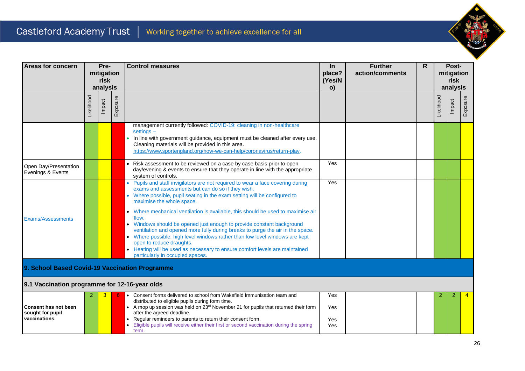

| <b>Areas for concern</b>                                         | Pre-<br>mitigation<br>risk<br>analysis |        |          | <b>Control measures</b>                                                                                                                                                                                                                                                                                                                                                                                                                                                                                                                                                                                                                                                                                                            |                   | <b>Further</b><br>action/comments | $\mathsf{R}$ | Post-<br>mitigation<br>risk<br>analysis |        |                |  |  |
|------------------------------------------------------------------|----------------------------------------|--------|----------|------------------------------------------------------------------------------------------------------------------------------------------------------------------------------------------------------------------------------------------------------------------------------------------------------------------------------------------------------------------------------------------------------------------------------------------------------------------------------------------------------------------------------------------------------------------------------------------------------------------------------------------------------------------------------------------------------------------------------------|-------------------|-----------------------------------|--------------|-----------------------------------------|--------|----------------|--|--|
|                                                                  | _ikelihood                             | Impact | Exposure |                                                                                                                                                                                                                                                                                                                                                                                                                                                                                                                                                                                                                                                                                                                                    |                   |                                   |              | _ikelihood                              | Impact | Exposure       |  |  |
|                                                                  |                                        |        |          | management currently followed: COVID-19: cleaning in non-healthcare<br>$settings -$<br>• In line with government guidance, equipment must be cleaned after every use.<br>Cleaning materials will be provided in this area.<br>https://www.sportengland.org/how-we-can-help/coronavirus/return-play.                                                                                                                                                                                                                                                                                                                                                                                                                                |                   |                                   |              |                                         |        |                |  |  |
| Open Day/Presentation<br>Evenings & Events                       |                                        |        |          | • Risk assessment to be reviewed on a case by case basis prior to open<br>day/evening & events to ensure that they operate in line with the appropriate<br>system of controls.                                                                                                                                                                                                                                                                                                                                                                                                                                                                                                                                                     | Yes               |                                   |              |                                         |        |                |  |  |
| <b>Exams/Assessments</b>                                         |                                        |        |          | • Pupils and staff invigilators are not required to wear a face covering during<br>exams and assessments but can do so if they wish.<br>• Where possible, pupil seating in the exam setting will be configured to<br>maximise the whole space.<br>• Where mechanical ventilation is available, this should be used to maximise air<br>flow.<br>Windows should be opened just enough to provide constant background<br>ventilation and opened more fully during breaks to purge the air in the space.<br>• Where possible, high level windows rather than low level windows are kept<br>open to reduce draughts.<br>• Heating will be used as necessary to ensure comfort levels are maintained<br>particularly in occupied spaces. | Yes               |                                   |              |                                         |        |                |  |  |
| 9. School Based Covid-19 Vaccination Programme                   |                                        |        |          |                                                                                                                                                                                                                                                                                                                                                                                                                                                                                                                                                                                                                                                                                                                                    |                   |                                   |              |                                         |        |                |  |  |
| 9.1 Vaccination programme for 12-16-year olds                    |                                        |        |          | Consent forms delivered to school from Wakefield Immunisation team and                                                                                                                                                                                                                                                                                                                                                                                                                                                                                                                                                                                                                                                             | Yes               |                                   |              |                                         | 2      | $\overline{4}$ |  |  |
| <b>Consent has not been</b><br>sought for pupil<br>vaccinations. |                                        |        |          | distributed to eligible pupils during form time.<br>• A mop up session was held on 23rd November 21 for pupils that returned their form<br>after the agreed deadline.<br>Regular reminders to parents to return their consent form.<br>Eligible pupils will receive either their first or second vaccination during the spring<br>term.                                                                                                                                                                                                                                                                                                                                                                                            | Yes<br>Yes<br>Yes |                                   |              |                                         |        |                |  |  |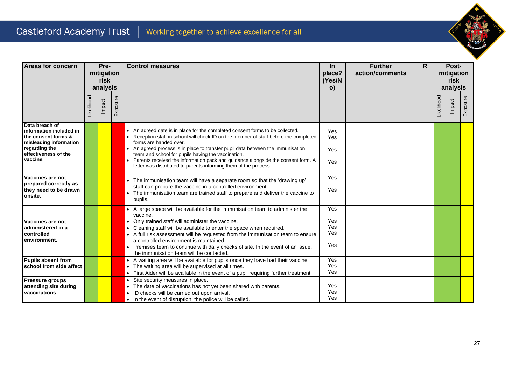

| <b>Areas for concern</b>                                                                                                                        | Pre-<br>mitigation<br>risk |          | <b>Control measures</b> | $\ln$<br>place?                                                                                                                                                                                                                                                                                                                                                                                                                                                                                 | <b>Further</b><br>action/comments |  | Post-<br>mitigation |                  |        |          |  |
|-------------------------------------------------------------------------------------------------------------------------------------------------|----------------------------|----------|-------------------------|-------------------------------------------------------------------------------------------------------------------------------------------------------------------------------------------------------------------------------------------------------------------------------------------------------------------------------------------------------------------------------------------------------------------------------------------------------------------------------------------------|-----------------------------------|--|---------------------|------------------|--------|----------|--|
|                                                                                                                                                 |                            |          |                         |                                                                                                                                                                                                                                                                                                                                                                                                                                                                                                 | (Yes/N                            |  |                     | risk<br>analysis |        |          |  |
|                                                                                                                                                 |                            | analysis |                         |                                                                                                                                                                                                                                                                                                                                                                                                                                                                                                 | $\mathsf{o}$                      |  |                     |                  |        |          |  |
|                                                                                                                                                 | _ikelihood                 | Impact   | Exposure                |                                                                                                                                                                                                                                                                                                                                                                                                                                                                                                 |                                   |  |                     | <b>ikelihood</b> | Impact | ≣xposure |  |
| Data breach of<br>information included in<br>the consent forms &<br>misleading information<br>regarding the<br>effectiveness of the<br>vaccine. |                            |          |                         | An agreed date is in place for the completed consent forms to be collected.<br>Reception staff in school will check ID on the member of staff before the completed<br>forms are handed over.<br>An agreed process is in place to transfer pupil data between the immunisation<br>team and school for pupils having the vaccination.<br>Parents received the information pack and guidance alongside the consent form. A<br>letter was distributed to parents informing them of the process.     | Yes<br>Yes<br>Yes<br>Yes          |  |                     |                  |        |          |  |
| Vaccines are not<br>prepared correctly as<br>they need to be drawn<br>onsite.                                                                   |                            |          |                         | • The immunisation team will have a separate room so that the 'drawing up'<br>staff can prepare the vaccine in a controlled environment.<br>The immunisation team are trained staff to prepare and deliver the vaccine to<br>pupils.                                                                                                                                                                                                                                                            | Yes<br>Yes                        |  |                     |                  |        |          |  |
| Vaccines are not<br>administered in a<br>controlled<br>environment.                                                                             |                            |          |                         | • A large space will be available for the immunisation team to administer the<br>vaccine.<br>Only trained staff will administer the vaccine.<br>$\bullet$<br>• Cleaning staff will be available to enter the space when required,<br>• A full risk assessment will be requested from the immunisation team to ensure<br>a controlled environment is maintained.<br>• Premises team to continue with daily checks of site. In the event of an issue,<br>the immunisation team will be contacted. | Yes<br>Yes<br>Yes<br>Yes<br>Yes   |  |                     |                  |        |          |  |
| <b>Pupils absent from</b><br>school from side affect                                                                                            |                            |          |                         | • A waiting area will be available for pupils once they have had their vaccine.<br>• The waiting area will be supervised at all times.<br>• First Aider will be available in the event of a pupil requiring further treatment.                                                                                                                                                                                                                                                                  | Yes<br>Yes<br>Yes                 |  |                     |                  |        |          |  |
| Pressure groups<br>attending site during<br>vaccinations                                                                                        |                            |          |                         | Site security measures in place.<br>$\bullet$<br>The date of vaccinations has not yet been shared with parents.<br>$\bullet$<br>ID checks will be carried out upon arrival.<br>$\bullet$<br>• In the event of disruption, the police will be called.                                                                                                                                                                                                                                            | Yes<br>Yes<br>Yes                 |  |                     |                  |        |          |  |